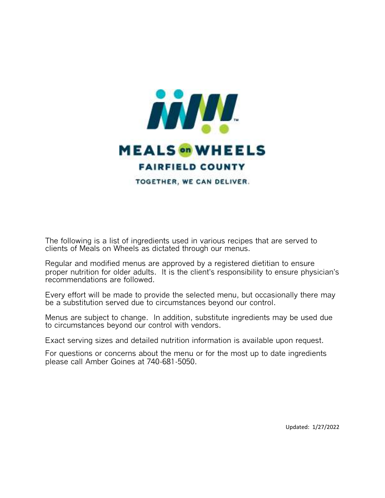

The following is a list of ingredients used in various recipes that are served to clients of Meals on Wheels as dictated through our menus.

Regular and modified menus are approved by a registered dietitian to ensure proper nutrition for older adults. It is the client's responsibility to ensure physician's recommendations are followed.

Every effort will be made to provide the selected menu, but occasionally there may be a substitution served due to circumstances beyond our control.

Menus are subject to change. In addition, substitute ingredients may be used due to circumstances beyond our control with vendors.

Exact serving sizes and detailed nutrition information is available upon request.

For questions or concerns about the menu or for the most up to date ingredients please call Amber Goines at 740-681-5050.

Updated: 1/27/2022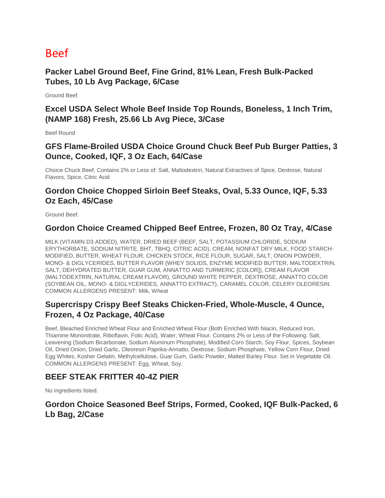# Beef

**Packer Label Ground Beef, Fine Grind, 81% Lean, Fresh Bulk-Packed Tubes, 10 Lb Avg Package, 6/Case**

Ground Beef

**Excel USDA Select Whole Beef Inside Top Rounds, Boneless, 1 Inch Trim, (NAMP 168) Fresh, 25.66 Lb Avg Piece, 3/Case**

Beef Round

## **GFS Flame-Broiled USDA Choice Ground Chuck Beef Pub Burger Patties, 3 Ounce, Cooked, IQF, 3 Oz Each, 64/Case**

Choice Chuck Beef, Contains 2% or Less of: Salt, Maltodextrin, Natural Extractives of Spice, Dextrose, Natural Flavors, Spice, Citric Acid

## **Gordon Choice Chopped Sirloin Beef Steaks, Oval, 5.33 Ounce, IQF, 5.33 Oz Each, 45/Case**

Ground Beef.

### **Gordon Choice Creamed Chipped Beef Entree, Frozen, 80 Oz Tray, 4/Case**

MILK (VITAMIN D3 ADDED), WATER, DRIED BEEF (BEEF, SALT, POTASSIUM CHLORIDE, SODIUM ERYTHORBATE, SODIUM NITRITE, BHT, TBHQ, CITRIC ACID), CREAM, NONFAT DRY MILK, FOOD STARCH-MODIFIED, BUTTER, WHEAT FLOUR, CHICKEN STOCK, RICE FLOUR, SUGAR, SALT, ONION POWDER, MONO- & DIGLYCERIDES, BUTTER FLAVOR (WHEY SOLIDS, ENZYME MODIFIED BUTTER, MALTODEXTRIN, SALT, DEHYDRATED BUTTER, GUAR GUM, ANNATTO AND TURMERIC [COLOR]), CREAM FLAVOR (MALTODEXTRIN, NATURAL CREAM FLAVOR), GROUND WHITE PEPPER, DEXTROSE, ANNATTO COLOR (SOYBEAN OIL, MONO- & DIGLYCERIDES, ANNATTO EXTRACT), CARAMEL COLOR, CELERY OLEORESIN. COMMON ALLERGENS PRESENT: Milk, Wheat

## **Supercrispy Crispy Beef Steaks Chicken-Fried, Whole-Muscle, 4 Ounce, Frozen, 4 Oz Package, 40/Case**

Beef, Bleached Enriched Wheat Flour and Enriched Wheat Flour (Both Enriched With Niacin, Reduced Iron, Thiamine Mononitrate, Riboflavin, Folic Acid), Water, Wheat Flour. Contains 2% or Less of the Following: Salt, Leavening (Sodium Bicarbonate, Sodium Aluminum Phosphate), Modified Corn Starch, Soy Flour, Spices, Soybean Oil, Dried Onion, Dried Garlic, Oleoresin Paprika-Annatto, Dextrose, Sodium Phosphate, Yellow Corn Flour, Dried Egg Whites, Kosher Gelatin, Methylcellulose, Guar Gum, Garlic Powder, Malted Barley Flour. Set in Vegetable Oil. COMMON ALLERGENS PRESENT: Egg, Wheat, Soy.

## **BEEF STEAK FRITTER 40-4Z PIER**

No ingredients listed.

# **Gordon Choice Seasoned Beef Strips, Formed, Cooked, IQF Bulk-Packed, 6 Lb Bag, 2/Case**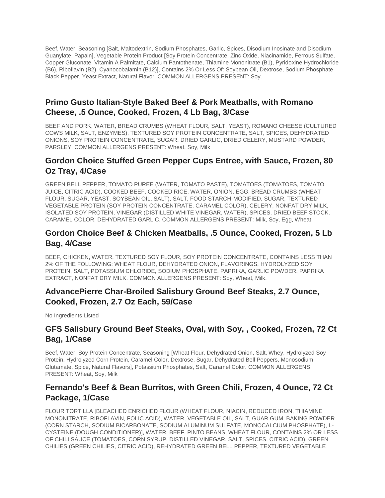Beef, Water, Seasoning [Salt, Maltodextrin, Sodium Phosphates, Garlic, Spices, Disodium Inosinate and Disodium Guanylate, Papain], Vegetable Protein Product [Soy Protein Concentrate, Zinc Oxide, Niacinamide, Ferrous Sulfate, Copper Gluconate, Vitamin A Palmitate, Calcium Pantothenate, Thiamine Mononitrate (B1), Pyridoxine Hydrochloride (B6), Riboflavin (B2), Cyanocobalamin (B12)], Contains 2% Or Less Of: Soybean Oil, Dextrose, Sodium Phosphate, Black Pepper, Yeast Extract, Natural Flavor. COMMON ALLERGENS PRESENT: Soy.

## **Primo Gusto Italian-Style Baked Beef & Pork Meatballs, with Romano Cheese, .5 Ounce, Cooked, Frozen, 4 Lb Bag, 3/Case**

BEEF AND PORK, WATER, BREAD CRUMBS (WHEAT FLOUR, SALT, YEAST), ROMANO CHEESE (CULTURED COWS MILK, SALT, ENZYMES), TEXTURED SOY PROTEIN CONCENTRATE, SALT, SPICES, DEHYDRATED ONIONS, SOY PROTEIN CONCENTRATE, SUGAR, DRIED GARLIC, DRIED CELERY, MUSTARD POWDER, PARSLEY. COMMON ALLERGENS PRESENT: Wheat, Soy, Milk

## **Gordon Choice Stuffed Green Pepper Cups Entree, with Sauce, Frozen, 80 Oz Tray, 4/Case**

GREEN BELL PEPPER, TOMATO PUREE (WATER, TOMATO PASTE), TOMATOES (TOMATOES, TOMATO JUICE, CITRIC ACID), COOKED BEEF, COOKED RICE, WATER, ONION, EGG, BREAD CRUMBS (WHEAT FLOUR, SUGAR, YEAST, SOYBEAN OIL, SALT), SALT, FOOD STARCH-MODIFIED, SUGAR, TEXTURED VEGETABLE PROTEIN (SOY PROTEIN CONCENTRATE, CARAMEL COLOR), CELERY, NONFAT DRY MILK, ISOLATED SOY PROTEIN, VINEGAR (DISTILLED WHITE VINEGAR, WATER), SPICES, DRIED BEEF STOCK, CARAMEL COLOR, DEHYDRATED GARLIC. COMMON ALLERGENS PRESENT: Milk, Soy, Egg, Wheat.

## **Gordon Choice Beef & Chicken Meatballs, .5 Ounce, Cooked, Frozen, 5 Lb Bag, 4/Case**

BEEF, CHICKEN, WATER, TEXTURED SOY FLOUR, SOY PROTEIN CONCENTRATE, CONTAINS LESS THAN 2% OF THE FOLLOWING: WHEAT FLOUR, DEHYDRATED ONION, FLAVORINGS, HYDROLYZED SOY PROTEIN, SALT, POTASSIUM CHLORIDE, SODIUM PHOSPHATE, PAPRIKA, GARLIC POWDER, PAPRIKA EXTRACT, NONFAT DRY MILK. COMMON ALLERGENS PRESENT: Soy, Wheat, Milk.

# **AdvancePierre Char-Broiled Salisbury Ground Beef Steaks, 2.7 Ounce, Cooked, Frozen, 2.7 Oz Each, 59/Case**

No Ingredients Listed

# **GFS Salisbury Ground Beef Steaks, Oval, with Soy, , Cooked, Frozen, 72 Ct Bag, 1/Case**

Beef, Water, Soy Protein Concentrate, Seasoning [Wheat Flour, Dehydrated Onion, Salt, Whey, Hydrolyzed Soy Protein, Hydrolyzed Corn Protein, Caramel Color, Dextrose, Sugar, Dehydrated Bell Peppers, Monosodium Glutamate, Spice, Natural Flavors], Potassium Phosphates, Salt, Caramel Color. COMMON ALLERGENS PRESENT: Wheat, Soy, Milk

# **Fernando's Beef & Bean Burritos, with Green Chili, Frozen, 4 Ounce, 72 Ct Package, 1/Case**

FLOUR TORTILLA [BLEACHED ENRICHED FLOUR (WHEAT FLOUR, NIACIN, REDUCED IRON, THIAMINE MONONITRATE, RIBOFLAVIN, FOLIC ACID), WATER, VEGETABLE OIL, SALT, GUAR GUM, BAKING POWDER (CORN STARCH, SODIUM BICARBONATE, SODIUM ALUMINUM SULFATE, MONOCALCIUM PHOSPHATE), L-CYSTEINE (DOUGH CONDITIONER)], WATER, BEEF, PINTO BEANS, WHEAT FLOUR, CONTAINS 2% OR LESS OF CHILI SAUCE (TOMATOES, CORN SYRUP, DISTILLED VINEGAR, SALT, SPICES, CITRIC ACID), GREEN CHILIES (GREEN CHILIES, CITRIC ACID), REHYDRATED GREEN BELL PEPPER, TEXTURED VEGETABLE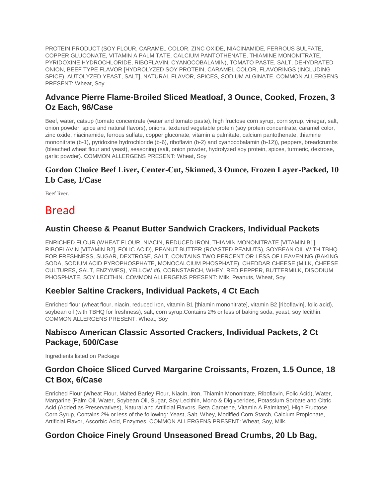PROTEIN PRODUCT (SOY FLOUR, CARAMEL COLOR, ZINC OXIDE, NIACINAMIDE, FERROUS SULFATE, COPPER GLUCONATE, VITAMIN A PALMITATE, CALCIUM PANTOTHENATE, THIAMINE MONONITRATE, PYRIDOXINE HYDROCHLORIDE, RIBOFLAVIN, CYANOCOBALAMIN), TOMATO PASTE, SALT, DEHYDRATED ONION, BEEF TYPE FLAVOR [HYDROLYZED SOY PROTEIN, CARAMEL COLOR, FLAVORINGS (INCLUDING SPICE), AUTOLYZED YEAST, SALT], NATURAL FLAVOR, SPICES, SODIUM ALGINATE. COMMON ALLERGENS PRESENT: Wheat, Soy

# **Advance Pierre Flame-Broiled Sliced Meatloaf, 3 Ounce, Cooked, Frozen, 3 Oz Each, 96/Case**

Beef, water, catsup (tomato concentrate (water and tomato paste), high fructose corn syrup, corn syrup, vinegar, salt, onion powder, spice and natural flavors), onions, textured vegetable protein (soy protein concentrate, caramel color, zinc oxide, niacinamide, ferrous sulfate, copper gluconate, vitamin a palmitate, calcium pantothenate, thiamine mononitrate (b-1), pyridoxine hydrochloride (b-6), riboflavin (b-2) and cyanocobalamin (b-12)), peppers, breadcrumbs (bleached wheat flour and yeast), seasoning (salt, onion powder, hydrolyzed soy protein, spices, turmeric, dextrose, garlic powder). COMMON ALLERGENS PRESENT: Wheat, Soy

## **Gordon Choice Beef Liver, Center-Cut, Skinned, 3 Ounce, Frozen Layer-Packed, 10 Lb Case, 1/Case**

Beef liver.

# Bread

# **Austin Cheese & Peanut Butter Sandwich Crackers, Individual Packets**

ENRICHED FLOUR (WHEAT FLOUR, NIACIN, REDUCED IRON, THIAMIN MONONITRATE [VITAMIN B1], RIBOFLAVIN [VITAMIN B2], FOLIC ACID), PEANUT BUTTER (ROASTED PEANUTS), SOYBEAN OIL WITH TBHQ FOR FRESHNESS, SUGAR, DEXTROSE, SALT, CONTAINS TWO PERCENT OR LESS OF LEAVENING (BAKING SODA, SODIUM ACID PYROPHOSPHATE, MONOCALCIUM PHOSPHATE), CHEDDAR CHEESE (MILK, CHEESE CULTURES, SALT, ENZYMES), YELLOW #6, CORNSTARCH, WHEY, RED PEPPER, BUTTERMILK, DISODIUM PHOSPHATE, SOY LECITHIN. COMMON ALLERGENS PRESENT: Milk, Peanuts, Wheat, Soy

### **Keebler Saltine Crackers, Individual Packets, 4 Ct Each**

Enriched flour (wheat flour, niacin, reduced iron, vitamin B1 [thiamin mononitrate], vitamin B2 [riboflavin], folic acid), soybean oil (with TBHQ for freshness), salt, corn syrup.Contains 2% or less of baking soda, yeast, soy lecithin. COMMON ALLERGENS PRESENT: Wheat, Soy

# **Nabisco American Classic Assorted Crackers, Individual Packets, 2 Ct Package, 500/Case**

Ingredients listed on Package

## **Gordon Choice Sliced Curved Margarine Croissants, Frozen, 1.5 Ounce, 18 Ct Box, 6/Case**

Enriched Flour (Wheat Flour, Malted Barley Flour, Niacin, Iron, Thiamin Mononitrate, Riboflavin, Folic Acid), Water, Margarine [Palm Oil, Water, Soybean Oil, Sugar, Soy Lecithin, Mono & Diglycerides, Potassium Sorbate and Citric Acid (Added as Preservatives), Natural and Artificial Flavors, Beta Carotene, Vitamin A Palmitate], High Fructose Corn Syrup, Contains 2% or less of the following: Yeast, Salt, Whey, Modified Corn Starch, Calcium Propionate, Artificial Flavor, Ascorbic Acid, Enzymes. COMMON ALLERGENS PRESENT: Wheat, Soy, Milk.

## **Gordon Choice Finely Ground Unseasoned Bread Crumbs, 20 Lb Bag,**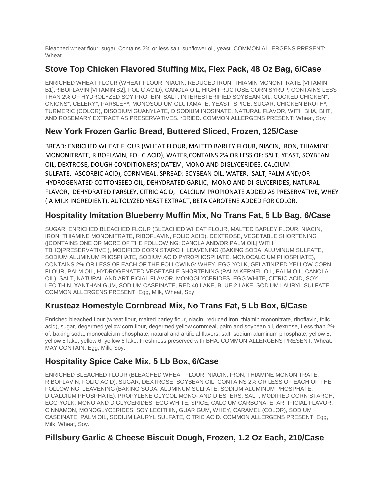Bleached wheat flour, sugar. Contains 2% or less salt, sunflower oil, yeast. COMMON ALLERGENS PRESENT: **Wheat** 

## **Stove Top Chicken Flavored Stuffing Mix, Flex Pack, 48 Oz Bag, 6/Case**

ENRICHED WHEAT FLOUR (WHEAT FLOUR, NIACIN, REDUCED IRON, THIAMIN MONONITRATE [VITAMIN B1],RIBOFLAVIN [VITAMIN B2], FOLIC ACID), CANOLA OIL, HIGH FRUCTOSE CORN SYRUP, CONTAINS LESS THAN 2% OF HYDROLYZED SOY PROTEIN, SALT, INTERESTERIFIED SOYBEAN OIL, COOKED CHICKEN\*, ONIONS\*, CELERY\*, PARSLEY\*, MONOSODIUM GLUTAMATE, YEAST, SPICE, SUGAR, CHICKEN BROTH\*, TURMERIC (COLOR), DISODIUM GUANYLATE, DISODIUM INOSINATE, NATURAL FLAVOR, WITH BHA, BHT, AND ROSEMARY EXTRACT AS PRESERVATIVES. \*DRIED. COMMON ALLERGENS PRESENT: Wheat, Soy

## **New York Frozen Garlic Bread, Buttered Sliced, Frozen, 125/Case**

BREAD: ENRICHED WHEAT FLOUR (WHEAT FLOUR, MALTED BARLEY FLOUR, NIACIN, IRON, THIAMINE MONONITRATE, RIBOFLAVIN, FOLIC ACID), WATER,CONTAINS 2% OR LESS OF: SALT, YEAST, SOYBEAN OIL, DEXTROSE, DOUGH CONDITIONERS( DATEM, MONO AND DIGLYCERIDES, CALCIUM SULFATE, ASCORBIC ACID), CORNMEAL. SPREAD: SOYBEAN OIL, WATER, SALT, PALM AND/OR HYDROGENATED COTTONSEED OIL, DEHYDRATED GARLIC, MONO AND DI‐GLYCERIDES, NATURAL FLAVOR, DEHYDRATED PARSLEY, CITRIC ACID, CALCIUM PROPIONATE ADDED AS PRESERVATIVE, WHEY ( A MILK INGREDIENT), AUTOLYZED YEAST EXTRACT, BETA CAROTENE ADDED FOR COLOR.

## **Hospitality Imitation Blueberry Muffin Mix, No Trans Fat, 5 Lb Bag, 6/Case**

SUGAR, ENRICHED BLEACHED FLOUR (BLEACHED WHEAT FLOUR, MALTED BARLEY FLOUR, NIACIN, IRON, THIAMINE MONONITRATE, RIBOFLAVIN, FOLIC ACID), DEXTROSE, VEGETABLE SHORTENING ([CONTAINS ONE OR MORE OF THE FOLLOWING: CANOLA AND/OR PALM OIL] WITH TBHQ[PRESERVATIVE]), MODIFIED CORN STARCH, LEAVENING (BAKING SODA, ALUMINUM SULFATE, SODIUM ALUMINUM PHOSPHATE, SODIUM ACID PYROPHOSPHATE, MONOCALCIUM PHOSPHATE), CONTAINS 2% OR LESS OF EACH OF THE FOLLOWING: WHEY, EGG YOLK, GELATINIZED YELLOW CORN FLOUR, PALM OIL, HYDROGENATED VEGETABLE SHORTENING (PALM KERNEL OIL, PALM OIL, CANOLA OIL), SALT, NATURAL AND ARTIFICIAL FLAVOR, MONOGLYCERIDES, EGG WHITE, CITRIC ACID, SOY LECITHIN, XANTHAN GUM, SODIUM CASEINATE, RED 40 LAKE, BLUE 2 LAKE, SODIUM LAURYL SULFATE. COMMON ALLERGENS PRESENT: Egg, Milk, Wheat, Soy

## **Krusteaz Homestyle Cornbread Mix, No Trans Fat, 5 Lb Box, 6/Case**

Enriched bleached flour (wheat flour, malted barley flour, niacin, reduced iron, thiamin mononitrate, riboflavin, folic acid), sugar, degermed yellow corn flour, degermed yellow cornmeal, palm and soybean oil, dextrose, Less than 2% of: baking soda, monocalcium phosphate, natural and artificial flavors, salt, sodium aluminum phosphate, yellow 5, yellow 5 lake, yellow 6, yellow 6 lake. Freshness preserved with BHA. COMMON ALLERGENS PRESENT: Wheat. MAY CONTAIN: Egg, Milk, Soy.

## **Hospitality Spice Cake Mix, 5 Lb Box, 6/Case**

ENRICHED BLEACHED FLOUR (BLEACHED WHEAT FLOUR, NIACIN, IRON, THIAMINE MONONITRATE, RIBOFLAVIN, FOLIC ACID), SUGAR, DEXTROSE, SOYBEAN OIL, CONTAINS 2% OR LESS OF EACH OF THE FOLLOWING: LEAVENING (BAKING SODA, ALUMINUM SULFATE, SODIUM ALUMINUM PHOSPHATE, DICALCIUM PHOSPHATE), PROPYLENE GLYCOL MONO- AND DIESTERS, SALT, MODIFIED CORN STARCH, EGG YOLK, MONO AND DIGLYCERIDES, EGG WHITE, SPICE, CALCIUM CARBONATE, ARTIFICIAL FLAVOR, CINNAMON, MONOGLYCERIDES, SOY LECITHIN, GUAR GUM, WHEY, CARAMEL (COLOR), SODIUM CASEINATE, PALM OIL, SODIUM LAURYL SULFATE, CITRIC ACID. COMMON ALLERGENS PRESENT: Egg, Milk, Wheat, Soy.

### **Pillsbury Garlic & Cheese Biscuit Dough, Frozen, 1.2 Oz Each, 210/Case**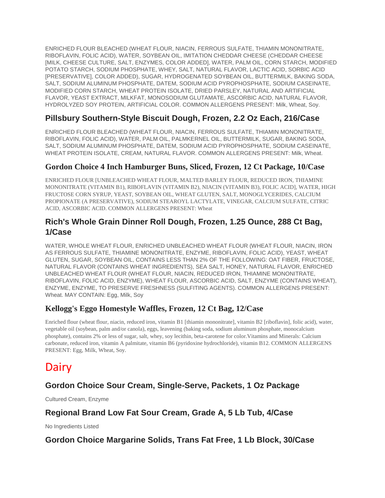ENRICHED FLOUR BLEACHED (WHEAT FLOUR, NIACIN, FERROUS SULFATE, THIAMIN MONONITRATE, RIBOFLAVIN, FOLIC ACID), WATER, SOYBEAN OIL, IMITATION CHEDDAR CHEESE (CHEDDAR CHEESE [MILK, CHEESE CULTURE, SALT, ENZYMES, COLOR ADDED], WATER, PALM OIL, CORN STARCH, MODIFIED POTATO STARCH, SODIUM PHOSPHATE, WHEY, SALT, NATURAL FLAVOR, LACTIC ACID, SORBIC ACID [PRESERVATIVE], COLOR ADDED), SUGAR, HYDROGENATED SOYBEAN OIL, BUTTERMILK, BAKING SODA, SALT, SODIUM ALUMINUM PHOSPHATE, DATEM, SODIUM ACID PYROPHOSPHATE, SODIUM CASEINATE, MODIFIED CORN STARCH, WHEAT PROTEIN ISOLATE, DRIED PARSLEY, NATURAL AND ARTIFICIAL FLAVOR, YEAST EXTRACT, MILKFAT, MONOSODIUM GLUTAMATE, ASCORBIC ACID, NATURAL FLAVOR, HYDROLYZED SOY PROTEIN, ARTIFICIAL COLOR. COMMON ALLERGENS PRESENT: Milk, Wheat, Soy.

# **Pillsbury Southern-Style Biscuit Dough, Frozen, 2.2 Oz Each, 216/Case**

ENRICHED FLOUR BLEACHED (WHEAT FLOUR, NIACIN, FERROUS SULFATE, THIAMIN MONONITRATE, RIBOFLAVIN, FOLIC ACID), WATER, PALM OIL, PALMKERNEL OIL, BUTTERMILK, SUGAR, BAKING SODA, SALT, SODIUM ALUMINUM PHOSPHATE, DATEM, SODIUM ACID PYROPHOSPHATE, SODIUM CASEINATE, WHEAT PROTEIN ISOLATE, CREAM, NATURAL FLAVOR. COMMON ALLERGENS PRESENT: Milk, Wheat.

### **Gordon Choice 4 Inch Hamburger Buns, Sliced, Frozen, 12 Ct Package, 10/Case**

ENRICHED FLOUR [UNBLEACHED WHEAT FLOUR, MALTED BARLEY FLOUR, REDUCED IRON, THIAMINE MONONITRATE (VITAMIN B1), RIBOFLAVIN (VITAMIN B2), NIACIN (VITAMIN B3), FOLIC ACID], WATER, HIGH FRUCTOSE CORN SYRUP, YEAST, SOYBEAN OIL, WHEAT GLUTEN, SALT, MONOGLYCERIDES, CALCIUM PROPIONATE (A PRESERVATIVE), SODIUM STEAROYL LACTYLATE, VINEGAR, CALCIUM SULFATE, CITRIC ACID, ASCORBIC ACID. COMMON ALLERGENS PRESENT: Wheat

## **Rich's Whole Grain Dinner Roll Dough, Frozen, 1.25 Ounce, 288 Ct Bag, 1/Case**

WATER, WHOLE WHEAT FLOUR, ENRICHED UNBLEACHED WHEAT FLOUR (WHEAT FLOUR, NIACIN, IRON AS FERROUS SULFATE, THIAMINE MONONITRATE, ENZYME, RIBOFLAVIN, FOLIC ACID), YEAST, WHEAT GLUTEN, SUGAR, SOYBEAN OIL, CONTAINS LESS THAN 2% OF THE FOLLOWING: OAT FIBER, FRUCTOSE, NATURAL FLAVOR (CONTAINS WHEAT INGREDIENTS), SEA SALT, HONEY, NATURAL FLAVOR, ENRICHED UNBLEACHED WHEAT FLOUR (WHEAT FLOUR, NIACIN, REDUCED IRON, THIAMINE MONONITRATE, RIBOFLAVIN, FOLIC ACID, ENZYME), WHEAT FLOUR, ASCORBIC ACID, SALT, ENZYME (CONTAINS WHEAT), ENZYME, ENZYME, TO PRESERVE FRESHNESS (SULFITING AGENTS). COMMON ALLERGENS PRESENT: Wheat. MAY CONTAIN: Egg, Milk, Soy

## **Kellogg's Eggo Homestyle Waffles, Frozen, 12 Ct Bag, 12/Case**

Enriched flour (wheat flour, niacin, reduced iron, vitamin B1 [thiamin mononitrate], vitamin B2 [riboflavin], folic acid), water, vegetable oil (soybean, palm and/or canola), eggs, leavening (baking soda, sodium aluminum phosphate, monocalcium phosphate), contains 2% or less of sugar, salt, whey, soy lecithin, beta-carotene for color.Vitamins and Minerals: Calcium carbonate, reduced iron, vitamin A palmitate, vitamin B6 (pyridoxine hydrochloride), vitamin B12. COMMON ALLERGENS PRESENT: Egg, Milk, Wheat, Soy.

# Dairy

# **Gordon Choice Sour Cream, Single-Serve, Packets, 1 Oz Package**

Cultured Cream, Enzyme

### **Regional Brand Low Fat Sour Cream, Grade A, 5 Lb Tub, 4/Case**

No Ingredients Listed

### **Gordon Choice Margarine Solids, Trans Fat Free, 1 Lb Block, 30/Case**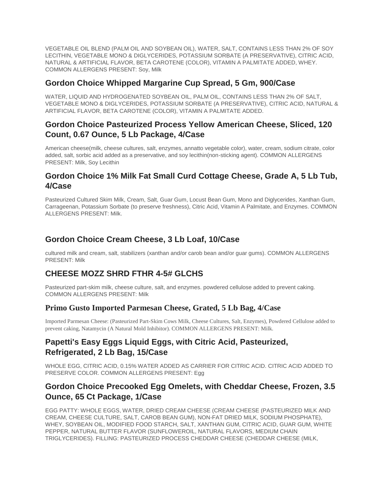VEGETABLE OIL BLEND (PALM OIL AND SOYBEAN OIL), WATER, SALT, CONTAINS LESS THAN 2% OF SOY LECITHIN, VEGETABLE MONO & DIGLYCERIDES, POTASSIUM SORBATE (A PRESERVATIVE), CITRIC ACID, NATURAL & ARTIFICIAL FLAVOR, BETA CAROTENE (COLOR), VITAMIN A PALMITATE ADDED, WHEY. COMMON ALLERGENS PRESENT: Soy, Milk

### **Gordon Choice Whipped Margarine Cup Spread, 5 Gm, 900/Case**

WATER, LIQUID AND HYDROGENATED SOYBEAN OIL, PALM OIL, CONTAINS LESS THAN 2% OF SALT, VEGETABLE MONO & DIGLYCERIDES, POTASSIUM SORBATE (A PRESERVATIVE), CITRIC ACID, NATURAL & ARTIFICIAL FLAVOR, BETA CAROTENE (COLOR), VITAMIN A PALMITATE ADDED.

### **Gordon Choice Pasteurized Process Yellow American Cheese, Sliced, 120 Count, 0.67 Ounce, 5 Lb Package, 4/Case**

American cheese(milk, cheese cultures, salt, enzymes, annatto vegetable color), water, cream, sodium citrate, color added, salt, sorbic acid added as a preservative, and soy lecithin(non-sticking agent). COMMON ALLERGENS PRESENT: Milk, Soy Lecithin

## **Gordon Choice 1% Milk Fat Small Curd Cottage Cheese, Grade A, 5 Lb Tub, 4/Case**

Pasteurized Cultured Skim Milk, Cream, Salt, Guar Gum, Locust Bean Gum, Mono and Diglycerides, Xanthan Gum, Carrageenan, Potassium Sorbate (to preserve freshness), Citric Acid, Vitamin A Palmitate, and Enzymes. COMMON ALLERGENS PRESENT: Milk.

## **Gordon Choice Cream Cheese, 3 Lb Loaf, 10/Case**

cultured milk and cream, salt, stabilizers (xanthan and/or carob bean and/or guar gums). COMMON ALLERGENS PRESENT: Milk

### **CHEESE MOZZ SHRD FTHR 4-5# GLCHS**

Pasteurized part-skim milk, cheese culture, salt, and enzymes. powdered cellulose added to prevent caking. COMMON ALLERGENS PRESENT: Milk

### **Primo Gusto Imported Parmesan Cheese, Grated, 5 Lb Bag, 4/Case**

Imported Parmesan Cheese: (Pasteurized Part-Skim Cows Milk, Cheese Cultures, Salt, Enzymes), Powdered Cellulose added to prevent caking, Natamycin (A Natural Mold Inhibitor). COMMON ALLERGENS PRESENT: Milk.

## **Papetti's Easy Eggs Liquid Eggs, with Citric Acid, Pasteurized, Refrigerated, 2 Lb Bag, 15/Case**

WHOLE EGG, CITRIC ACID, 0.15% WATER ADDED AS CARRIER FOR CITRIC ACID. CITRIC ACID ADDED TO PRESERVE COLOR. COMMON ALLERGENS PRESENT: Egg

### **Gordon Choice Precooked Egg Omelets, with Cheddar Cheese, Frozen, 3.5 Ounce, 65 Ct Package, 1/Case**

EGG PATTY: WHOLE EGGS, WATER, DRIED CREAM CHEESE (CREAM CHEESE (PASTEURIZED MILK AND CREAM, CHEESE CULTURE, SALT, CAROB BEAN GUM), NON-FAT DRIED MILK, SODIUM PHOSPHATE), WHEY, SOYBEAN OIL, MODIFIED FOOD STARCH, SALT, XANTHAN GUM, CITRIC ACID, GUAR GUM, WHITE PEPPER, NATURAL BUTTER FLAVOR (SUNFLOWEROIL, NATURAL FLAVORS, MEDIUM CHAIN TRIGLYCERIDES). FILLING: PASTEURIZED PROCESS CHEDDAR CHEESE (CHEDDAR CHEESE (MILK,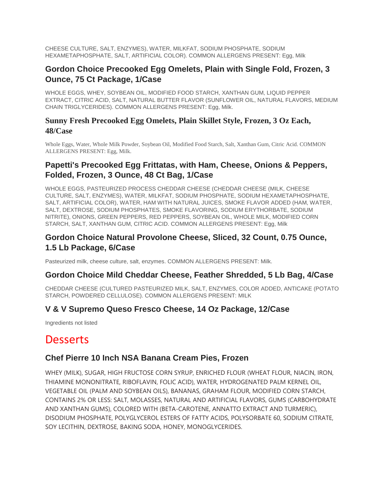CHEESE CULTURE, SALT, ENZYMES), WATER, MILKFAT, SODIUM PHOSPHATE, SODIUM HEXAMETAPHOSPHATE, SALT, ARTIFICIAL COLOR). COMMON ALLERGENS PRESENT: Egg, Milk

### **Gordon Choice Precooked Egg Omelets, Plain with Single Fold, Frozen, 3 Ounce, 75 Ct Package, 1/Case**

WHOLE EGGS, WHEY, SOYBEAN OIL, MODIFIED FOOD STARCH, XANTHAN GUM, LIQUID PEPPER EXTRACT, CITRIC ACID, SALT, NATURAL BUTTER FLAVOR (SUNFLOWER OIL, NATURAL FLAVORS, MEDIUM CHAIN TRIGLYCERIDES). COMMON ALLERGENS PRESENT: Egg, Milk.

### **Sunny Fresh Precooked Egg Omelets, Plain Skillet Style, Frozen, 3 Oz Each, 48/Case**

Whole Eggs, Water, Whole Milk Powder, Soybean Oil, Modified Food Starch, Salt, Xanthan Gum, Citric Acid. COMMON ALLERGENS PRESENT: Egg, Milk.

## **Papetti's Precooked Egg Frittatas, with Ham, Cheese, Onions & Peppers, Folded, Frozen, 3 Ounce, 48 Ct Bag, 1/Case**

WHOLE EGGS, PASTEURIZED PROCESS CHEDDAR CHEESE (CHEDDAR CHEESE (MILK, CHEESE CULTURE, SALT, ENZYMES), WATER, MILKFAT, SODIUM PHOSPHATE, SODIUM HEXAMETAPHOSPHATE, SALT, ARTIFICIAL COLOR), WATER, HAM WITH NATURAL JUICES, SMOKE FLAVOR ADDED (HAM, WATER, SALT, DEXTROSE, SODIUM PHOSPHATES, SMOKE FLAVORING, SODIUM ERYTHORBATE, SODIUM NITRITE), ONIONS, GREEN PEPPERS, RED PEPPERS, SOYBEAN OIL, WHOLE MILK, MODIFIED CORN STARCH, SALT, XANTHAN GUM, CITRIC ACID. COMMON ALLERGENS PRESENT: Egg, Milk

## **Gordon Choice Natural Provolone Cheese, Sliced, 32 Count, 0.75 Ounce, 1.5 Lb Package, 6/Case**

Pasteurized milk, cheese culture, salt, enzymes. COMMON ALLERGENS PRESENT: Milk.

## **Gordon Choice Mild Cheddar Cheese, Feather Shredded, 5 Lb Bag, 4/Case**

CHEDDAR CHEESE (CULTURED PASTEURIZED MILK, SALT, ENZYMES, COLOR ADDED, ANTICAKE (POTATO STARCH, POWDERED CELLULOSE). COMMON ALLERGENS PRESENT: MILK

### **V & V Supremo Queso Fresco Cheese, 14 Oz Package, 12/Case**

Ingredients not listed

# Desserts

### **Chef Pierre 10 Inch NSA Banana Cream Pies, Frozen**

WHEY (MILK), SUGAR, HIGH FRUCTOSE CORN SYRUP, ENRICHED FLOUR (WHEAT FLOUR, NIACIN, IRON, THIAMINE MONONITRATE, RIBOFLAVIN, FOLIC ACID), WATER, HYDROGENATED PALM KERNEL OIL, VEGETABLE OIL (PALM AND SOYBEAN OILS), BANANAS, GRAHAM FLOUR, MODIFIED CORN STARCH, CONTAINS 2% OR LESS: SALT, MOLASSES, NATURAL AND ARTIFICIAL FLAVORS, GUMS (CARBOHYDRATE AND XANTHAN GUMS), COLORED WITH (BETA-CAROTENE, ANNATTO EXTRACT AND TURMERIC), DISODIUM PHOSPHATE, POLYGLYCEROL ESTERS OF FATTY ACIDS, POLYSORBATE 60, SODIUM CITRATE, SOY LECITHIN, DEXTROSE, BAKING SODA, HONEY, MONOGLYCERIDES.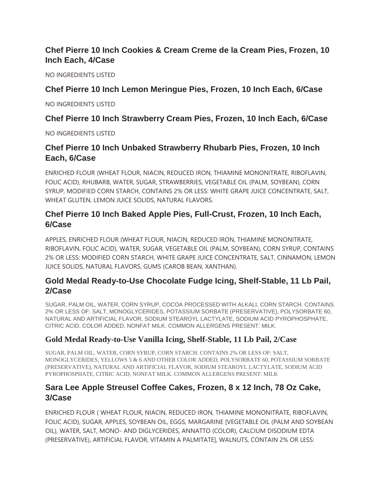# **Chef Pierre 10 Inch Cookies & Cream Creme de la Cream Pies, Frozen, 10 Inch Each, 4/Case**

NO INGREDIENTS LISTED

### **Chef Pierre 10 Inch Lemon Meringue Pies, Frozen, 10 Inch Each, 6/Case**

NO INGREDIENTS LISTED

## **Chef Pierre 10 Inch Strawberry Cream Pies, Frozen, 10 Inch Each, 6/Case**

NO INGREDIENTS LISTED

## **Chef Pierre 10 Inch Unbaked Strawberry Rhubarb Pies, Frozen, 10 Inch Each, 6/Case**

ENRICHED FLOUR (WHEAT FLOUR, NIACIN, REDUCED IRON, THIAMINE MONONITRATE, RIBOFLAVIN, FOLIC ACID), RHUBARB, WATER, SUGAR, STRAWBERRIES, VEGETABLE OIL (PALM, SOYBEAN), CORN SYRUP, MODIFIED CORN STARCH, CONTAINS 2% OR LESS: WHITE GRAPE JUICE CONCENTRATE, SALT, WHEAT GLUTEN, LEMON JUICE SOLIDS, NATURAL FLAVORS.

# **Chef Pierre 10 Inch Baked Apple Pies, Full-Crust, Frozen, 10 Inch Each, 6/Case**

APPLES, ENRICHED FLOUR (WHEAT FLOUR, NIACIN, REDUCED IRON, THIAMINE MONONITRATE, RIBOFLAVIN, FOLIC ACID), WATER, SUGAR, VEGETABLE OIL (PALM, SOYBEAN), CORN SYRUP, CONTAINS 2% OR LESS: MODIFIED CORN STARCH, WHITE GRAPE JUICE CONCENTRATE, SALT, CINNAMON, LEMON JUICE SOLIDS, NATURAL FLAVORS, GUMS (CAROB BEAN, XANTHAN).

## **Gold Medal Ready-to-Use Chocolate Fudge Icing, Shelf-Stable, 11 Lb Pail, 2/Case**

SUGAR, PALM OIL, WATER, CORN SYRUP, COCOA PROCESSED WITH ALKALI, CORN STARCH. CONTAINS 2% OR LESS OF: SALT, MONOGLYCERIDES, POTASSIUM SORBATE (PRESERVATIVE), POLYSORBATE 60, NATURAL AND ARTIFICIAL FLAVOR, SODIUM STEAROYL LACTYLATE, SODIUM ACID PYROPHOSPHATE, CITRIC ACID, COLOR ADDED, NONFAT MILK. COMMON ALLERGENS PRESENT: MILK.

### **Gold Medal Ready-to-Use Vanilla Icing, Shelf-Stable, 11 Lb Pail, 2/Case**

SUGAR, PALM OIL, WATER, CORN SYRUP, CORN STARCH. CONTAINS 2% OR LESS OF: SALT, MONOGLYCERIDES, YELLOWS 5 & 6 AND OTHER COLOR ADDED, POLYSORBATE 60, POTASSIUM SORBATE (PRESERVATIVE), NATURAL AND ARTIFICIAL FLAVOR, SODIUM STEAROYL LACTYLATE, SODIUM ACID PYROPHOSPHATE, CITRIC ACID, NONFAT MILK. COMMON ALLERGENS PRESENT: MILK

## **Sara Lee Apple Streusel Coffee Cakes, Frozen, 8 x 12 Inch, 78 Oz Cake, 3/Case**

ENRICHED FLOUR ( WHEAT FLOUR, NIACIN, REDUCED IRON, THIAMINE MONONITRATE, RIBOFLAVIN, FOLIC ACID), SUGAR, APPLES, SOYBEAN OIL, EGGS, MARGARINE [VEGETABLE OIL (PALM AND SOYBEAN OIL), WATER, SALT, MONO- AND DIGLYCERIDES, ANNATTO (COLOR), CALCIUM DISODIUM EDTA (PRESERVATIVE), ARTIFICIAL FLAVOR, VITAMIN A PALMITATE], WALNUTS, CONTAIN 2% OR LESS: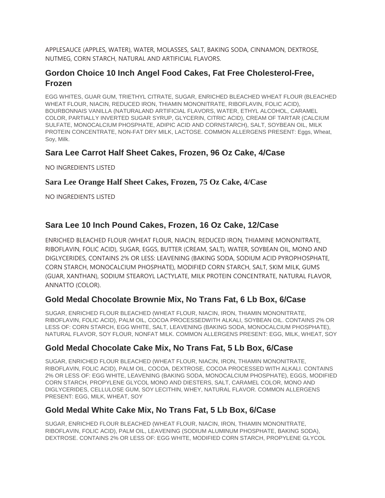APPLESAUCE (APPLES, WATER), WATER, MOLASSES, SALT, BAKING SODA, CINNAMON, DEXTROSE, NUTMEG, CORN STARCH, NATURAL AND ARTIFICIAL FLAVORS.

## **Gordon Choice 10 Inch Angel Food Cakes, Fat Free Cholesterol-Free, Frozen**

EGG WHITES, GUAR GUM, TRIETHYL CITRATE, SUGAR, ENRICHED BLEACHED WHEAT FLOUR (BLEACHED WHEAT FLOUR, NIACIN, REDUCED IRON, THIAMIN MONONITRATE, RIBOFLAVIN, FOLIC ACID), BOURBONNAIS VANILLA (NATURALAND ARTIFICIAL FLAVORS, WATER, ETHYL ALCOHOL, CARAMEL COLOR, PARTIALLY INVERTED SUGAR SYRUP, GLYCERIN, CITRIC ACID), CREAM OF TARTAR (CALCIUM SULFATE, MONOCALCIUM PHOSPHATE, ADIPIC ACID AND CORNSTARCH), SALT, SOYBEAN OIL, MILK PROTEIN CONCENTRATE, NON-FAT DRY MILK, LACTOSE. COMMON ALLERGENS PRESENT: Eggs, Wheat, Soy, Milk.

## **Sara Lee Carrot Half Sheet Cakes, Frozen, 96 Oz Cake, 4/Case**

NO INGREDIENTS LISTED

**Sara Lee Orange Half Sheet Cakes, Frozen, 75 Oz Cake, 4/Case**

NO INGREDIENTS LISTED

## **Sara Lee 10 Inch Pound Cakes, Frozen, 16 Oz Cake, 12/Case**

ENRICHED BLEACHED FLOUR (WHEAT FLOUR, NIACIN, REDUCED IRON, THIAMINE MONONITRATE, RIBOFLAVIN, FOLIC ACID), SUGAR, EGGS, BUTTER (CREAM, SALT), WATER, SOYBEAN OIL, MONO AND DIGLYCERIDES, CONTAINS 2% OR LESS: LEAVENING (BAKING SODA, SODIUM ACID PYROPHOSPHATE, CORN STARCH, MONOCALCIUM PHOSPHATE), MODIFIED CORN STARCH, SALT, SKIM MILK, GUMS (GUAR, XANTHAN), SODIUM STEAROYL LACTYLATE, MILK PROTEIN CONCENTRATE, NATURAL FLAVOR, ANNATTO (COLOR).

### **Gold Medal Chocolate Brownie Mix, No Trans Fat, 6 Lb Box, 6/Case**

SUGAR, ENRICHED FLOUR BLEACHED (WHEAT FLOUR, NIACIN, IRON, THIAMIN MONONITRATE, RIBOFLAVIN, FOLIC ACID), PALM OIL, COCOA PROCESSEDWITH ALKALI, SOYBEAN OIL. CONTAINS 2% OR LESS OF: CORN STARCH, EGG WHITE, SALT, LEAVENING (BAKING SODA, MONOCALCIUM PHOSPHATE), NATURAL FLAVOR, SOY FLOUR, NONFAT MILK. COMMON ALLERGENS PRESENT: EGG, MILK, WHEAT, SOY

## **Gold Medal Chocolate Cake Mix, No Trans Fat, 5 Lb Box, 6/Case**

SUGAR, ENRICHED FLOUR BLEACHED (WHEAT FLOUR, NIACIN, IRON, THIAMIN MONONITRATE, RIBOFLAVIN, FOLIC ACID), PALM OIL, COCOA, DEXTROSE, COCOA PROCESSED WITH ALKALI. CONTAINS 2% OR LESS OF: EGG WHITE, LEAVENING (BAKING SODA, MONOCALCIUM PHOSPHATE), EGGS, MODIFIED CORN STARCH, PROPYLENE GLYCOL MONO AND DIESTERS, SALT, CARAMEL COLOR, MONO AND DIGLYCERIDES, CELLULOSE GUM, SOY LECITHIN, WHEY, NATURAL FLAVOR. COMMON ALLERGENS PRESENT: EGG, MILK, WHEAT, SOY

## **Gold Medal White Cake Mix, No Trans Fat, 5 Lb Box, 6/Case**

SUGAR, ENRICHED FLOUR BLEACHED (WHEAT FLOUR, NIACIN, IRON, THIAMIN MONONITRATE, RIBOFLAVIN, FOLIC ACID), PALM OIL, LEAVENING (SODIUM ALUMINUM PHOSPHATE, BAKING SODA), DEXTROSE. CONTAINS 2% OR LESS OF: EGG WHITE, MODIFIED CORN STARCH, PROPYLENE GLYCOL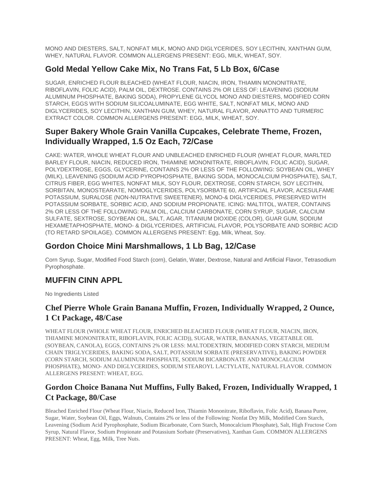MONO AND DIESTERS, SALT, NONFAT MILK, MONO AND DIGLYCERIDES, SOY LECITHIN, XANTHAN GUM, WHEY, NATURAL FLAVOR. COMMON ALLERGENS PRESENT: EGG, MILK, WHEAT, SOY.

### **Gold Medal Yellow Cake Mix, No Trans Fat, 5 Lb Box, 6/Case**

SUGAR, ENRICHED FLOUR BLEACHED (WHEAT FLOUR, NIACIN, IRON, THIAMIN MONONITRATE, RIBOFLAVIN, FOLIC ACID), PALM OIL, DEXTROSE. CONTAINS 2% OR LESS OF: LEAVENING (SODIUM ALUMINUM PHOSPHATE, BAKING SODA), PROPYLENE GLYCOL MONO AND DIESTERS, MODIFIED CORN STARCH, EGGS WITH SODIUM SILICOALUMINATE, EGG WHITE, SALT, NONFAT MILK, MONO AND DIGLYCERIDES, SOY LECITHIN, XANTHAN GUM, WHEY, NATURAL FLAVOR, ANNATTO AND TURMERIC EXTRACT COLOR. COMMON ALLERGENS PRESENT: EGG, MILK, WHEAT, SOY.

## **Super Bakery Whole Grain Vanilla Cupcakes, Celebrate Theme, Frozen, Individually Wrapped, 1.5 Oz Each, 72/Case**

CAKE: WATER, WHOLE WHEAT FLOUR AND UNBLEACHED ENRICHED FLOUR (WHEAT FLOUR, MARLTED BARLEY FLOUR, NIACIN, REDUCED IRON, THIAMINE MONONITRATE, RIBOFLAVIN, FOLIC ACID), SUGAR, POLYDEXTROSE, EGGS, GLYCERINE, CONTAINS 2% OR LESS OF THE FOLLOWING: SOYBEAN OIL, WHEY (MILK), LEAVENING (SODIUM ACID PYROPHOSPHATE, BAKING SODA, MONOCALCIUM PHOSPHATE), SALT, CITRUS FIBER, EGG WHITES, NONFAT MILK, SOY FLOUR, DEXTROSE, CORN STARCH, SOY LECITHIN, SORBITAN, MONOSTEARATE, NOMOGLYCERIDES, POLYSORBATE 60, ARTIFICIAL FLAVOR, ACESULFAME POTASSIUM, SURALOSE (NON-NUTRATIVE SWEETENER), MONO-& DIGLYCERIDES, PRESERVED WITH POTASSIUM SORBATE, SORBIC ACID, AND SODIUM PROPIONATE. ICING: MALTITOL, WATER, CONTAINS 2% OR LESS OF THE FOLLOWING: PALM OIL, CALCIUM CARBONATE, CORN SYRUP, SUGAR, CALCIUM SULFATE, SEXTROSE, SOYBEAN OIL, SALT, AGAR, TITANIUM DIOXIDE (COLOR), GUAR GUM, SODIUM HEXAMETAPHOSPHATE, MONO- & DIGLYCERIDES, ARTIFICIAL FLAVOR, POLYSORBATE AND SORBIC ACID (TO RETARD SPOILAGE). COMMON ALLERGENS PRESENT: Egg, Milk, Wheat, Soy.

## **Gordon Choice Mini Marshmallows, 1 Lb Bag, 12/Case**

Corn Syrup, Sugar, Modified Food Starch (corn), Gelatin, Water, Dextrose, Natural and Artificial Flavor, Tetrasodium Pyrophosphate.

## **MUFFIN CINN APPL**

No Ingredients Listed

## **Chef Pierre Whole Grain Banana Muffin, Frozen, Individually Wrapped, 2 Ounce, 1 Ct Package, 48/Case**

WHEAT FLOUR (WHOLE WHEAT FLOUR, ENRICHED BLEACHED FLOUR (WHEAT FLOUR, NIACIN, IRON, THIAMINE MONONITRATE, RIBOFLAVIN, FOLIC ACID)), SUGAR, WATER, BANANAS, VEGETABLE OIL (SOYBEAN, CANOLA), EGGS, CONTAINS 2% OR LESS: MALTODEXTRIN, MODIFIED CORN STARCH, MEDIUM CHAIN TRIGLYCERIDES, BAKING SODA, SALT, POTASSIUM SORBATE (PRESERVATIVE), BAKING POWDER (CORN STARCH, SODIUM ALUMINUM PHOSPHATE, SODIUM BICARBONATE AND MONOCALCIUM PHOSPHATE), MONO- AND DIGLYCERIDES, SODIUM STEAROYL LACTYLATE, NATURAL FLAVOR. COMMON ALLERGENS PRESENT: WHEAT, EGG.

## **Gordon Choice Banana Nut Muffins, Fully Baked, Frozen, Individually Wrapped, 1 Ct Package, 80/Case**

Bleached Enriched Flour (Wheat Flour, Niacin, Reduced Iron, Thiamin Mononitrate, Riboflavin, Folic Acid), Banana Puree, Sugar, Water, Soybean Oil, Eggs, Walnuts, Contains 2% or less of the Following: Nonfat Dry Milk, Modified Corn Starch, Leavening (Sodium Acid Pyrophosphate, Sodium Bicarbonate, Corn Starch, Monocalcium Phosphate), Salt, High Fructose Corn Syrup, Natural Flavor, Sodium Propionate and Potassium Sorbate (Preservatives), Xanthan Gum. COMMON ALLERGENS PRESENT: Wheat, Egg, Milk, Tree Nuts.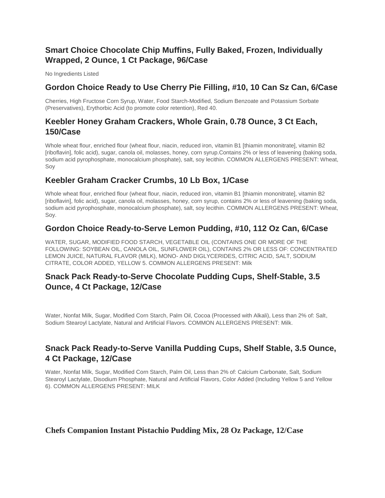## **Smart Choice Chocolate Chip Muffins, Fully Baked, Frozen, Individually Wrapped, 2 Ounce, 1 Ct Package, 96/Case**

No Ingredients Listed

### **Gordon Choice Ready to Use Cherry Pie Filling, #10, 10 Can Sz Can, 6/Case**

Cherries, High Fructose Corn Syrup, Water, Food Starch-Modified, Sodium Benzoate and Potassium Sorbate (Preservatives), Erythorbic Acid (to promote color retention), Red 40.

### **Keebler Honey Graham Crackers, Whole Grain, 0.78 Ounce, 3 Ct Each, 150/Case**

Whole wheat flour, enriched flour (wheat flour, niacin, reduced iron, vitamin B1 [thiamin mononitrate], vitamin B2 [riboflavin], folic acid), sugar, canola oil, molasses, honey, corn syrup.Contains 2% or less of leavening (baking soda, sodium acid pyrophosphate, monocalcium phosphate), salt, soy lecithin. COMMON ALLERGENS PRESENT: Wheat, Soy

## **Keebler Graham Cracker Crumbs, 10 Lb Box, 1/Case**

Whole wheat flour, enriched flour (wheat flour, niacin, reduced iron, vitamin B1 [thiamin mononitrate], vitamin B2 [riboflavin], folic acid), sugar, canola oil, molasses, honey, corn syrup, contains 2% or less of leavening (baking soda, sodium acid pyrophosphate, monocalcium phosphate), salt, soy lecithin. COMMON ALLERGENS PRESENT: Wheat, Soy.

### **Gordon Choice Ready-to-Serve Lemon Pudding, #10, 112 Oz Can, 6/Case**

WATER, SUGAR, MODIFIED FOOD STARCH, VEGETABLE OIL (CONTAINS ONE OR MORE OF THE FOLLOWING: SOYBEAN OIL, CANOLA OIL, SUNFLOWER OIL), CONTAINS 2% OR LESS OF: CONCENTRATED LEMON JUICE, NATURAL FLAVOR (MILK), MONO- AND DIGLYCERIDES, CITRIC ACID, SALT, SODIUM CITRATE, COLOR ADDED, YELLOW 5. COMMON ALLERGENS PRESENT: Milk

## **Snack Pack Ready-to-Serve Chocolate Pudding Cups, Shelf-Stable, 3.5 Ounce, 4 Ct Package, 12/Case**

Water, Nonfat Milk, Sugar, Modified Corn Starch, Palm Oil, Cocoa (Processed with Alkali), Less than 2% of: Salt, Sodium Stearoyl Lactylate, Natural and Artificial Flavors. COMMON ALLERGENS PRESENT: Milk.

## **Snack Pack Ready-to-Serve Vanilla Pudding Cups, Shelf Stable, 3.5 Ounce, 4 Ct Package, 12/Case**

Water, Nonfat Milk, Sugar, Modified Corn Starch, Palm Oil, Less than 2% of: Calcium Carbonate, Salt, Sodium Stearoyl Lactylate, Disodium Phosphate, Natural and Artificial Flavors, Color Added (Including Yellow 5 and Yellow 6). COMMON ALLERGENS PRESENT: MILK

### **Chefs Companion Instant Pistachio Pudding Mix, 28 Oz Package, 12/Case**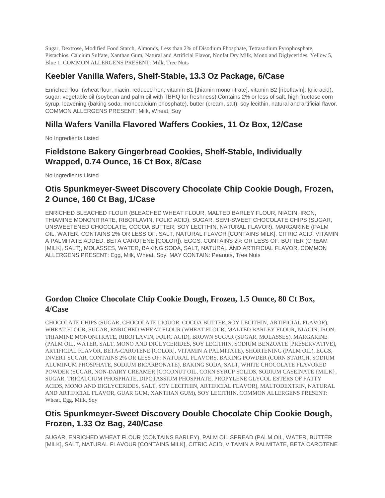Sugar, Dextrose, Modified Food Starch, Almonds, Less than 2% of Disodium Phosphate, Tetrasodium Pyrophosphate, Pistachios, Calcium Sulfate, Xanthan Gum, Natural and Artificial Flavor, Nonfat Dry Milk, Mono and Diglycerides, Yellow 5, Blue 1. COMMON ALLERGENS PRESENT: Milk, Tree Nuts

## **Keebler Vanilla Wafers, Shelf-Stable, 13.3 Oz Package, 6/Case**

Enriched flour (wheat flour, niacin, reduced iron, vitamin B1 [thiamin mononitrate], vitamin B2 [riboflavin], folic acid), sugar, vegetable oil (soybean and palm oil with TBHQ for freshness).Contains 2% or less of salt, high fructose corn syrup, leavening (baking soda, monocalcium phosphate), butter (cream, salt), soy lecithin, natural and artificial flavor. COMMON ALLERGENS PRESENT: Milk, Wheat, Soy

### **Nilla Wafers Vanilla Flavored Waffers Cookies, 11 Oz Box, 12/Case**

No Ingredients Listed

## **Fieldstone Bakery Gingerbread Cookies, Shelf-Stable, Individually Wrapped, 0.74 Ounce, 16 Ct Box, 8/Case**

No Ingredients Listed

## **Otis Spunkmeyer-Sweet Discovery Chocolate Chip Cookie Dough, Frozen, 2 Ounce, 160 Ct Bag, 1/Case**

ENRICHED BLEACHED FLOUR (BLEACHED WHEAT FLOUR, MALTED BARLEY FLOUR, NIACIN, IRON, THIAMINE MONONITRATE, RIBOFLAVIN, FOLIC ACID), SUGAR, SEMI-SWEET CHOCOLATE CHIPS (SUGAR, UNSWEETENED CHOCOLATE, COCOA BUTTER, SOY LECITHIN, NATURAL FLAVOR), MARGARINE (PALM OIL, WATER, CONTAINS 2% OR LESS OF: SALT, NATURAL FLAVOR [CONTAINS MILK], CITRIC ACID, VITAMIN A PALMITATE ADDED, BETA CAROTENE [COLOR]), EGGS, CONTAINS 2% OR LESS OF: BUTTER (CREAM [MILK], SALT), MOLASSES, WATER, BAKING SODA, SALT, NATURAL AND ARTIFICIAL FLAVOR. COMMON ALLERGENS PRESENT: Egg, Milk, Wheat, Soy. MAY CONTAIN: Peanuts, Tree Nuts

### **Gordon Choice Chocolate Chip Cookie Dough, Frozen, 1.5 Ounce, 80 Ct Box, 4/Case**

CHOCOLATE CHIPS (SUGAR, CHOCOLATE LIQUOR, COCOA BUTTER, SOY LECITHIN, ARTIFICIAL FLAVOR), WHEAT FLOUR, SUGAR, ENRICHED WHEAT FLOUR (WHEAT FLOUR, MALTED BARLEY FLOUR, NIACIN, IRON, THIAMINE MONONITRATE, RIBOFLAVIN, FOLIC ACID), BROWN SUGAR (SUGAR, MOLASSES), MARGARINE (PALM OIL, WATER, SALT, MONO AND DIGLYCERIDES, SOY LECITHIN, SODIUM BENZOATE [PRESERVATIVE], ARTIFICIAL FLAVOR, BETA-CAROTENE [COLOR], VITAMIN A PALMITATE), SHORTENING (PALM OIL), EGGS, INVERT SUGAR, CONTAINS 2% OR LESS OF: NATURAL FLAVORS, BAKING POWDER (CORN STARCH, SODIUM ALUMINUM PHOSPHATE, SODIUM BICARBONATE), BAKING SODA, SALT, WHITE CHOCOLATE FLAVORED POWDER (SUGAR, NON-DAIRY CREAMER [COCONUT OIL, CORN SYRUP SOLIDS, SODIUM CASEINATE {MILK}, SUGAR, TRICALCIUM PHOSPHATE, DIPOTASSIUM PHOSPHATE, PROPYLENE GLYCOL ESTERS OF FATTY ACIDS, MONO AND DIGLYCERIDES, SALT, SOY LECITHIN, ARTIFICIAL FLAVOR], MALTODEXTRIN, NATURAL AND ARTIFICIAL FLAVOR, GUAR GUM, XANTHAN GUM), SOY LECITHIN. COMMON ALLERGENS PRESENT: Wheat, Egg, Milk, Soy

## **Otis Spunkmeyer-Sweet Discovery Double Chocolate Chip Cookie Dough, Frozen, 1.33 Oz Bag, 240/Case**

SUGAR, ENRICHED WHEAT FLOUR (CONTAINS BARLEY), PALM OIL SPREAD (PALM OIL, WATER, BUTTER [MILK], SALT, NATURAL FLAVOUR [CONTAINS MILK], CITRIC ACID, VITAMIN A PALMITATE, BETA CAROTENE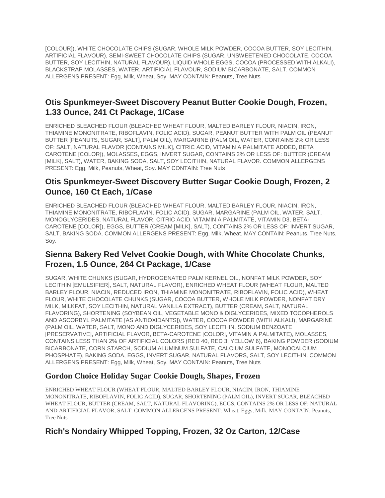[COLOUR]), WHITE CHOCOLATE CHIPS (SUGAR, WHOLE MILK POWDER, COCOA BUTTER, SOY LECITHIN, ARTIFICIAL FLAVOUR), SEMI-SWEET CHOCOLATE CHIPS (SUGAR, UNSWEETENED CHOCOLATE, COCOA BUTTER, SOY LECITHIN, NATURAL FLAVOUR), LIQUID WHOLE EGGS, COCOA (PROCESSED WITH ALKALI), BLACKSTRAP MOLASSES, WATER, ARTIFICIAL FLAVOUR, SODIUM BICARBONATE, SALT. COMMON ALLERGENS PRESENT: Egg, Milk, Wheat, Soy. MAY CONTAIN: Peanuts, Tree Nuts

### **Otis Spunkmeyer-Sweet Discovery Peanut Butter Cookie Dough, Frozen, 1.33 Ounce, 241 Ct Package, 1/Case**

ENRICHED BLEACHED FLOUR (BLEACHED WHEAT FLOUR, MALTED BARLEY FLOUR, NIACIN, IRON, THIAMINE MONONITRATE, RIBOFLAVIN, FOLIC ACID), SUGAR, PEANUT BUTTER WITH PALM OIL (PEANUT BUTTER [PEANUTS, SUGAR, SALT], PALM OIL), MARGARINE (PALM OIL, WATER, CONTAINS 2% OR LESS OF: SALT, NATURAL FLAVOR [CONTAINS MILK], CITRIC ACID, VITAMIN A PALMITATE ADDED, BETA CAROTENE [COLOR]), MOLASSES, EGGS, INVERT SUGAR, CONTAINS 2% OR LESS OF: BUTTER (CREAM [MILK], SALT), WATER, BAKING SODA, SALT, SOY LECITHIN, NATURAL FLAVOR. COMMON ALLERGENS PRESENT: Egg, Milk, Peanuts, Wheat, Soy. MAY CONTAIN: Tree Nuts

## **Otis Spunkmeyer-Sweet Discovery Butter Sugar Cookie Dough, Frozen, 2 Ounce, 160 Ct Each, 1/Case**

ENRICHED BLEACHED FLOUR (BLEACHED WHEAT FLOUR, MALTED BARLEY FLOUR, NIACIN, IRON, THIAMINE MONONITRATE, RIBOFLAVIN, FOLIC ACID), SUGAR, MARGARINE (PALM OIL, WATER, SALT, MONOGLYCERIDES, NATURAL FLAVOR, CITRIC ACID, VITAMIN A PALMITATE, VITAMIN D3, BETA-CAROTENE [COLOR]), EGGS, BUTTER (CREAM [MILK], SALT), CONTAINS 2% OR LESS OF: INVERT SUGAR, SALT, BAKING SODA. COMMON ALLERGENS PRESENT: Egg, Milk, Wheat. MAY CONTAIN: Peanuts, Tree Nuts, Soy.

## **Sienna Bakery Red Velvet Cookie Dough, with White Chocolate Chunks, Frozen, 1.5 Ounce, 264 Ct Package, 1/Case**

SUGAR, WHITE CHUNKS (SUGAR, HYDROGENATED PALM KERNEL OIL, NONFAT MILK POWDER, SOY LECITHIN [EMULSIFIER], SALT, NATURAL FLAVOR), ENRICHED WHEAT FLOUR (WHEAT FLOUR, MALTED BARLEY FLOUR, NIACIN, REDUCED IRON, THIAMINE MONONITRATE, RIBOFLAVIN, FOLIC ACID), WHEAT FLOUR, WHITE CHOCOLATE CHUNKS (SUGAR, COCOA BUTTER, WHOLE MILK POWDER, NONFAT DRY MILK, MILKFAT, SOY LECITHIN, NATURAL VANILLA EXTRACT), BUTTER (CREAM, SALT, NATURAL FLAVORING), SHORTENING (SOYBEAN OIL, VEGETABLE MONO & DIGLYCERIDES, MIXED TOCOPHEROLS AND ASCORBYL PALMITATE [AS ANTIOXIDANTS]), WATER, COCOA POWDER (WITH ALKALI), MARGARINE (PALM OIL, WATER, SALT, MONO AND DIGLYCERIDES, SOY LECITHIN, SODIUM BENZOATE [PRESERVATIVE], ARTIFICIAL FLAVOR, BETA-CAROTENE [COLOR], VITAMIN A PALMITATE), MOLASSES, CONTAINS LESS THAN 2% OF ARTIFICIAL COLORS (RED 40, RED 3, YELLOW 6), BAKING POWDER (SODIUM BICARBONATE, CORN STARCH, SODIUM ALUMINUM SULFATE, CALCIUM SULFATE, MONOCALCIUM PHOSPHATE), BAKING SODA, EGGS, INVERT SUGAR, NATURAL FLAVORS, SALT, SOY LECITHIN. COMMON ALLERGENS PRESENT: Egg, Milk, Wheat, Soy. MAY CONTAIN: Peanuts, Tree Nuts

### **Gordon Choice Holiday Sugar Cookie Dough, Shapes, Frozen**

ENRICHED WHEAT FLOUR (WHEAT FLOUR, MALTED BARLEY FLOUR, NIACIN, IRON, THIAMINE MONONITRATE, RIBOFLAVIN, FOLIC ACID), SUGAR, SHORTENING (PALM OIL), INVERT SUGAR, BLEACHED WHEAT FLOUR, BUTTER (CREAM, SALT, NATURAL FLAVORING), EGGS, CONTAINS 2% OR LESS OF: NATURAL AND ARTIFICIAL FLAVOR, SALT. COMMON ALLERGENS PRESENT: Wheat, Eggs, Milk. MAY CONTAIN: Peanuts, Tree Nuts

## **Rich's Nondairy Whipped Topping, Frozen, 32 Oz Carton, 12/Case**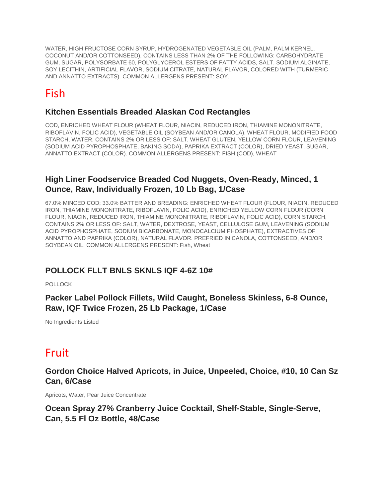WATER, HIGH FRUCTOSE CORN SYRUP, HYDROGENATED VEGETABLE OIL (PALM, PALM KERNEL, COCONUT AND/OR COTTONSEED), CONTAINS LESS THAN 2% OF THE FOLLOWING: CARBOHYDRATE GUM, SUGAR, POLYSORBATE 60, POLYGLYCEROL ESTERS OF FATTY ACIDS, SALT, SODIUM ALGINATE, SOY LECITHIN, ARTIFICIAL FLAVOR, SODIUM CITRATE, NATURAL FLAVOR, COLORED WITH (TURMERIC AND ANNATTO EXTRACTS). COMMON ALLERGENS PRESENT: SOY.

# Fish

## **Kitchen Essentials Breaded Alaskan Cod Rectangles**

COD, ENRICHED WHEAT FLOUR (WHEAT FLOUR, NIACIN, REDUCED IRON, THIAMINE MONONITRATE, RIBOFLAVIN, FOLIC ACID), VEGETABLE OIL (SOYBEAN AND/OR CANOLA), WHEAT FLOUR, MODIFIED FOOD STARCH, WATER, CONTAINS 2% OR LESS OF: SALT, WHEAT GLUTEN, YELLOW CORN FLOUR, LEAVENING (SODIUM ACID PYROPHOSPHATE, BAKING SODA), PAPRIKA EXTRACT (COLOR), DRIED YEAST, SUGAR, ANNATTO EXTRACT (COLOR). COMMON ALLERGENS PRESENT: FISH (COD), WHEAT

## **High Liner Foodservice Breaded Cod Nuggets, Oven-Ready, Minced, 1 Ounce, Raw, Individually Frozen, 10 Lb Bag, 1/Case**

67.0% MINCED COD; 33.0% BATTER AND BREADING: ENRICHED WHEAT FLOUR (FLOUR, NIACIN, REDUCED IRON, THIAMINE MONONITRATE, RIBOFLAVIN, FOLIC ACID), ENRICHED YELLOW CORN FLOUR (CORN FLOUR, NIACIN, REDUCED IRON, THIAMINE MONONITRATE, RIBOFLAVIN, FOLIC ACID), CORN STARCH, CONTAINS 2% OR LESS OF: SALT, WATER, DEXTROSE, YEAST, CELLULOSE GUM, LEAVENING (SODIUM ACID PYROPHOSPHATE, SODIUM BICARBONATE, MONOCALCIUM PHOSPHATE), EXTRACTIVES OF ANNATTO AND PAPRIKA (COLOR), NATURAL FLAVOR. PREFRIED IN CANOLA, COTTONSEED, AND/OR SOYBEAN OIL. COMMON ALLERGENS PRESENT: Fish, Wheat

# **POLLOCK FLLT BNLS SKNLS IQF 4-6Z 10#**

POLLOCK

**Packer Label Pollock Fillets, Wild Caught, Boneless Skinless, 6-8 Ounce, Raw, IQF Twice Frozen, 25 Lb Package, 1/Case**

No Ingredients Listed

# Fruit

**Gordon Choice Halved Apricots, in Juice, Unpeeled, Choice, #10, 10 Can Sz Can, 6/Case**

Apricots, Water, Pear Juice Concentrate

**Ocean Spray 27% Cranberry Juice Cocktail, Shelf-Stable, Single-Serve, Can, 5.5 Fl Oz Bottle, 48/Case**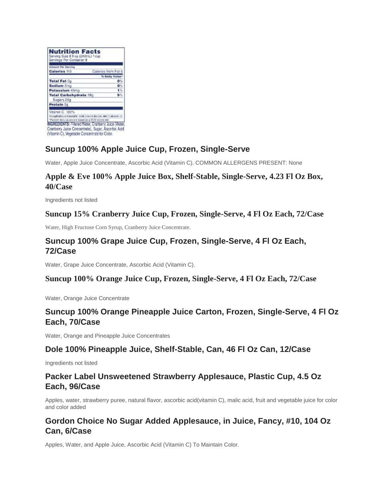| <b>Amount Per Serving</b>     |                                                                                             |
|-------------------------------|---------------------------------------------------------------------------------------------|
| <b>Calories 110</b>           | Calories from Fat 0                                                                         |
|                               | % Bally Value*                                                                              |
| <b>Total Fat Og</b>           | o%                                                                                          |
| Sodium 5mg                    | 0%                                                                                          |
| Potassium 45mg                | 钱                                                                                           |
| <b>Total Carbohydrate 28c</b> | 9%                                                                                          |
| Sugars 25g                    |                                                                                             |
| Protein 0g                    |                                                                                             |
|                               |                                                                                             |
| Vitamin C 100%                |                                                                                             |
|                               | fet a synthest souch of selumet for, how tal, chown of, desiry free, where A calcument rost |

# **Suncup 100% Apple Juice Cup, Frozen, Single-Serve**

Water, Apple Juice Concentrate, Ascorbic Acid (Vitamin C). COMMON ALLERGENS PRESENT: None

## **Apple & Eve 100% Apple Juice Box, Shelf-Stable, Single-Serve, 4.23 Fl Oz Box, 40/Case**

Ingredients not listed

### **Suncup 15% Cranberry Juice Cup, Frozen, Single-Serve, 4 Fl Oz Each, 72/Case**

Water, High Fructose Corn Syrup, Cranberry Juice Concentrate.

## **Suncup 100% Grape Juice Cup, Frozen, Single-Serve, 4 Fl Oz Each, 72/Case**

Water, Grape Juice Concentrate, Ascorbic Acid (Vitamin C).

#### **Suncup 100% Orange Juice Cup, Frozen, Single-Serve, 4 Fl Oz Each, 72/Case**

Water, Orange Juice Concentrate

## **Suncup 100% Orange Pineapple Juice Carton, Frozen, Single-Serve, 4 Fl Oz Each, 70/Case**

Water, Orange and Pineapple Juice Concentrates

### **Dole 100% Pineapple Juice, Shelf-Stable, Can, 46 Fl Oz Can, 12/Case**

Ingredients not listed

## **Packer Label Unsweetened Strawberry Applesauce, Plastic Cup, 4.5 Oz Each, 96/Case**

Apples, water, strawberry puree, natural flavor, ascorbic acid(vitamin C), malic acid, fruit and vegetable juice for color and color added

# **Gordon Choice No Sugar Added Applesauce, in Juice, Fancy, #10, 104 Oz Can, 6/Case**

Apples, Water, and Apple Juice, Ascorbic Acid (Vitamin C) To Maintain Color.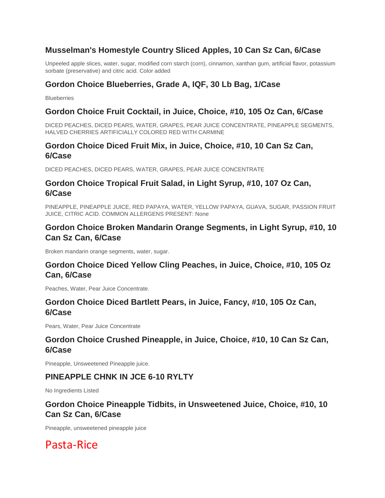## **Musselman's Homestyle Country Sliced Apples, 10 Can Sz Can, 6/Case**

Unpeeled apple slices, water, sugar, modified corn starch (corn), cinnamon, xanthan gum, artificial flavor, potassium sorbate (preservative) and citric acid. Color added

# **Gordon Choice Blueberries, Grade A, IQF, 30 Lb Bag, 1/Case**

**Blueberries** 

### **Gordon Choice Fruit Cocktail, in Juice, Choice, #10, 105 Oz Can, 6/Case**

DICED PEACHES, DICED PEARS, WATER, GRAPES, PEAR JUICE CONCENTRATE, PINEAPPLE SEGMENTS, HALVED CHERRIES ARTIFICIALLY COLORED RED WITH CARMINE

## **Gordon Choice Diced Fruit Mix, in Juice, Choice, #10, 10 Can Sz Can, 6/Case**

DICED PEACHES, DICED PEARS, WATER, GRAPES, PEAR JUICE CONCENTRATE

### **Gordon Choice Tropical Fruit Salad, in Light Syrup, #10, 107 Oz Can, 6/Case**

PINEAPPLE, PINEAPPLE JUICE, RED PAPAYA, WATER, YELLOW PAPAYA, GUAVA, SUGAR, PASSION FRUIT JUICE, CITRIC ACID. COMMON ALLERGENS PRESENT: None

## **Gordon Choice Broken Mandarin Orange Segments, in Light Syrup, #10, 10 Can Sz Can, 6/Case**

Broken mandarin orange segments, water, sugar.

## **Gordon Choice Diced Yellow Cling Peaches, in Juice, Choice, #10, 105 Oz Can, 6/Case**

Peaches, Water, Pear Juice Concentrate.

### **Gordon Choice Diced Bartlett Pears, in Juice, Fancy, #10, 105 Oz Can, 6/Case**

Pears, Water, Pear Juice Concentrate

## **Gordon Choice Crushed Pineapple, in Juice, Choice, #10, 10 Can Sz Can, 6/Case**

Pineapple, Unsweetened Pineapple juice.

### **PINEAPPLE CHNK IN JCE 6-10 RYLTY**

No Ingredients Listed

## **Gordon Choice Pineapple Tidbits, in Unsweetened Juice, Choice, #10, 10 Can Sz Can, 6/Case**

Pineapple, unsweetened pineapple juice

Pasta-Rice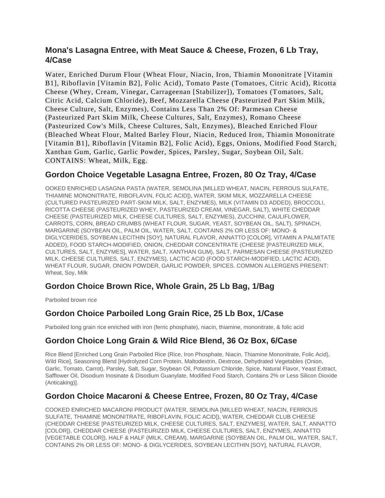## **Mona's Lasagna Entree, with Meat Sauce & Cheese, Frozen, 6 Lb Tray, 4/Case**

Water, Enriched Durum Flour (Wheat Flour, Niacin, Iron, Thiamin Mononitrate [Vitamin B1], Riboflavin [Vitamin B2], Folic Acid), Tomato Paste (Tomatoes, Citric Acid), Ricotta Cheese (Whey, Cream, Vinegar, Carrageenan [Stabilizer]), Tomatoes (Tomatoes, Salt, Citric Acid, Calcium Chloride), Beef, Mozzarella Cheese (Pasteurized Part Skim Milk, Cheese Culture, Salt, Enzymes), Contains Less Than 2% Of: Parmesan Cheese (Pasteurized Part Skim Milk, Cheese Cultures, Salt, Enzymes), Romano Cheese (Pasteurized Cow's Milk, Cheese Cultures, Salt, Enzymes), Bleached Enriched Flour (Bleached Wheat Flour, Malted Barley Flour, Niacin, Reduced Iron, Thiamin Mononitrate [Vitamin B1], Riboflavin [Vitamin B2], Folic Acid), Eggs, Onions, Modified Food Starch, Xanthan Gum, Garlic, Garlic Powder, Spices, Parsley, Sugar, Soybean Oil, Salt. CONTAINS: Wheat, Milk, Egg.

### **Gordon Choice Vegetable Lasagna Entree, Frozen, 80 Oz Tray, 4/Case**

OOKED ENRICHED LASAGNA PASTA (WATER, SEMOLINA [MILLED WHEAT, NIACIN, FERROUS SULFATE, THIAMINE MONONITRATE, RIBOFLAVIN, FOLIC ACID]), WATER, SKIM MILK, MOZZARELLA CHEESE (CULTURED PASTEURIZED PART-SKIM MILK, SALT, ENZYMES), MILK (VITAMIN D3 ADDED), BROCCOLI, RICOTTA CHEESE (PASTEURIZED WHEY, PASTEURIZED CREAM, VINEGAR, SALT), WHITE CHEDDAR CHEESE (PASTEURIZED MILK, CHEESE CULTURES, SALT, ENZYMES), ZUCCHINI, CAULIFLOWER, CARROTS, CORN, BREAD CRUMBS (WHEAT FLOUR, SUGAR, YEAST, SOYBEAN OIL, SALT), SPINACH, MARGARINE (SOYBEAN OIL, PALM OIL, WATER, SALT, CONTAINS 2% OR LESS OF: MONO- & DIGLYCERIDES, SOYBEAN LECITHIN [SOY], NATURAL FLAVOR, ANNATTO [COLOR], VITAMIN A PALMITATE ADDED), FOOD STARCH-MODIFIED, ONION, CHEDDAR CONCENTRATE (CHEESE [PASTEURIZED MILK, CULTURES, SALT, ENZYMES], WATER, SALT, XANTHAN GUM), SALT, PARMESAN CHEESE (PASTEURIZED MILK, CHEESE CULTURES, SALT, ENZYMES), LACTIC ACID (FOOD STARCH-MODIFIED, LACTIC ACID), WHEAT FLOUR, SUGAR, ONION POWDER, GARLIC POWDER, SPICES. COMMON ALLERGENS PRESENT: Wheat, Soy, Milk

## **Gordon Choice Brown Rice, Whole Grain, 25 Lb Bag, 1/Bag**

Parboiled brown rice

## **Gordon Choice Parboiled Long Grain Rice, 25 Lb Box, 1/Case**

Parboiled long grain rice enriched with iron (ferric phosphate), niacin, thiamine, mononitrate, & folic acid

### **Gordon Choice Long Grain & Wild Rice Blend, 36 Oz Box, 6/Case**

Rice Blend [Enriched Long Grain Parboiled Rice (Rice, Iron Phosphate, Niacin, Thiamine Mononitrate, Folic Acid), Wild Rice], Seasoning Blend [Hydrolyzed Corn Protein, Maltodextrin, Dextrose, Dehydrated Vegetables (Onion, Garlic, Tomato, Carrot), Parsley, Salt, Sugar, Soybean Oil, Potassium Chloride, Spice, Natural Flavor, Yeast Extract, Safflower Oil, Disodium Inosinate & Disodium Guanylate, Modified Food Starch, Contains 2% or Less Silicon Dioxide (Anticaking)].

## **Gordon Choice Macaroni & Cheese Entree, Frozen, 80 Oz Tray, 4/Case**

COOKED ENRICHED MACARONI PRODUCT (WATER, SEMOLINA [MILLED WHEAT, NIACIN, FERROUS SULFATE, THIAMINE MONONITRATE, RIBOFLAVIN, FOLIC ACID]), WATER, CHEDDAR CLUB CHEESE (CHEDDAR CHEESE [PASTEURIZED MILK, CHEESE CULTURES, SALT, ENZYMES], WATER, SALT, ANNATTO [COLOR]), CHEDDAR CHEESE (PASTEURIZED MILK, CHEESE CULTURES, SALT, ENZYMES, ANNATTO [VEGETABLE COLOR]), HALF & HALF (MILK, CREAM), MARGARINE (SOYBEAN OIL, PALM OIL, WATER, SALT, CONTAINS 2% OR LESS OF: MONO- & DIGLYCERIDES, SOYBEAN LECITHIN [SOY], NATURAL FLAVOR,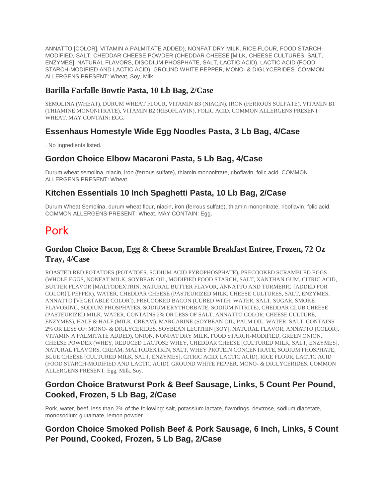ANNATTO [COLOR], VITAMIN A PALMITATE ADDED), NONFAT DRY MILK, RICE FLOUR, FOOD STARCH-MODIFIED, SALT, CHEDDAR CHEESE POWDER (CHEDDAR CHEESE [MILK, CHEESE CULTURES, SALT, ENZYMES], NATURAL FLAVORS, DISODIUM PHOSPHATE, SALT, LACTIC ACID), LACTIC ACID (FOOD STARCH-MODIFIED AND LACTIC ACID), GROUND WHITE PEPPER, MONO- & DIGLYCERIDES. COMMON ALLERGENS PRESENT: Wheat, Soy, Milk.

### **Barilla Farfalle Bowtie Pasta, 10 Lb Bag, 2/Case**

SEMOLINA (WHEAT), DURUM WHEAT FLOUR, VITAMIN B3 (NIACIN), IRON (FERROUS SULFATE), VITAMIN B1 (THIAMINE MONONITRATE), VITAMIN B2 (RIBOFLAVIN), FOLIC ACID. COMMON ALLERGENS PRESENT: WHEAT. MAY CONTAIN: EGG.

## **Essenhaus Homestyle Wide Egg Noodles Pasta, 3 Lb Bag, 4/Case**

. No Ingredients listed.

## **Gordon Choice Elbow Macaroni Pasta, 5 Lb Bag, 4/Case**

Durum wheat semolina, niacin, iron (ferrous sulfate), thiamin mononitrate, riboflavin, folic acid. COMMON ALLERGENS PRESENT: Wheat.

## **Kitchen Essentials 10 Inch Spaghetti Pasta, 10 Lb Bag, 2/Case**

Durum Wheat Semolina, durum wheat flour, niacin, iron (ferrous sulfate), thiamin mononitrate, riboflavin, folic acid. COMMON ALLERGENS PRESENT: Wheat. MAY CONTAIN: Egg.

# Pork

### **Gordon Choice Bacon, Egg & Cheese Scramble Breakfast Entree, Frozen, 72 Oz Tray, 4/Case**

ROASTED RED POTATOES (POTATOES, SODIUM ACID PYROPHOSPHATE), PRECOOKED SCRAMBLED EGGS (WHOLE EGGS, NONFAT MILK, SOYBEAN OIL, MODIFIED FOOD STARCH, SALT, XANTHAN GUM, CITRIC ACID, BUTTER FLAVOR [MALTODEXTRIN, NATURAL BUTTER FLAVOR, ANNATTO AND TURMERIC {ADDED FOR COLOR}], PEPPER), WATER, CHEDDAR CHEESE (PASTEURIZED MILK, CHEESE CULTURES, SALT, ENZYMES, ANNATTO [VEGETABLE COLOR]), PRECOOKED BACON (CURED WITH: WATER, SALT, SUGAR, SMOKE FLAVORING, SODIUM PHOSPHATES, SODIUM ERYTHORBATE, SODIUM NITRITE), CHEDDAR CLUB CHEESE (PASTEURIZED MILK, WATER, CONTAINS 2% OR LESS OF SALT, ANNATTO COLOR, CHEESE CULTURE, ENZYMES), HALF & HALF (MILK, CREAM), MARGARINE (SOYBEAN OIL, PALM OIL, WATER, SALT, CONTAINS 2% OR LESS OF: MONO- & DIGLYCERIDES, SOYBEAN LECITHIN [SOY], NATURAL FLAVOR, ANNATTO [COLOR], VITAMIN A PALMITATE ADDED), ONION, NONFAT DRY MILK, FOOD STARCH-MODIFIED, GREEN ONION, CHEESE POWDER (WHEY, REDUCED LACTOSE WHEY, CHEDDAR CHEESE [CULTURED MILK, SALT, ENZYMES], NATURAL FLAVORS, CREAM, MALTODEXTRIN, SALT, WHEY PROTEIN CONCENTRATE, SODIUM PHOSPHATE, BLUE CHEESE [CULTURED MILK, SALT, ENZYMES], CITRIC ACID, LACTIC ACID), RICE FLOUR, LACTIC ACID (FOOD STARCH-MODIFIED AND LACTIC ACID), GROUND WHITE PEPPER, MONO- & DIGLYCERIDES. COMMON ALLERGENS PRESENT: Egg, Milk, Soy.

## **Gordon Choice Bratwurst Pork & Beef Sausage, Links, 5 Count Per Pound, Cooked, Frozen, 5 Lb Bag, 2/Case**

Pork, water, beef, less than 2% of the following: salt, potassium lactate, flavorings, dextrose, sodium diacetate, monosodium glutamate, lemon powder

## **Gordon Choice Smoked Polish Beef & Pork Sausage, 6 Inch, Links, 5 Count Per Pound, Cooked, Frozen, 5 Lb Bag, 2/Case**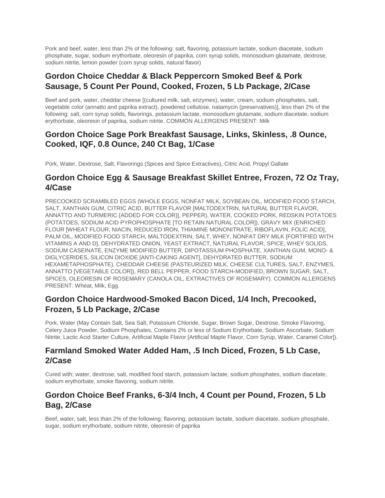Pork and beef, water, less than 2% of the following: salt, flavoring, potassium lactate, sodium diacetate, sodium phosphate, sugar, sodium erythorbate, oleoresin of paprika, corn syrup solids, monosodium glutamate, dextrose, sodium nitrite, lemon powder (corn syrup solids, natural flavor)

## **Gordon Choice Cheddar & Black Peppercorn Smoked Beef & Pork Sausage, 5 Count Per Pound, Cooked, Frozen, 5 Lb Package, 2/Case**

Beef and pork, water, cheddar cheese [(cultured milk, salt, enzymes), water, cream, sodium phosphates, salt, vegetable color (annatto and paprika extract), powdered cellulose, natamycin (preservatives)], less than 2% of the following: salt, corn syrup solids, flavorings, potassium lactate, monosodium glutamate, sodium diacetate, sodium erythorbate, oleoresin of paprika, sodium nitrite. COMMON ALLERGENS PRESENT: Milk

## **Gordon Choice Sage Pork Breakfast Sausage, Links, Skinless, .8 Ounce, Cooked, IQF, 0.8 Ounce, 240 Ct Bag, 1/Case**

Pork, Water, Dextrose, Salt, Flavorings (Spices and Spice Extractives), Citric Acid, Propyl Gallate

## **Gordon Choice Egg & Sausage Breakfast Skillet Entree, Frozen, 72 Oz Tray, 4/Case**

PRECOOKED SCRAMBLED EGGS (WHOLE EGGS, NONFAT MILK, SOYBEAN OIL, MODIFIED FOOD STARCH, SALT, XANTHAN GUM, CITRIC ACID, BUTTER FLAVOR [MALTODEXTRIN, NATURAL BUTTER FLAVOR, ANNATTO AND TURMERIC {ADDED FOR COLOR}], PEPPER), WATER, COOKED PORK, REDSKIN POTATOES (POTATOES, SODIUM ACID PYROPHOSPHATE [TO RETAIN NATURAL COLOR]), GRAVY MIX (ENRICHED FLOUR [WHEAT FLOUR, NIACIN, REDUCED IRON, THIAMINE MONONITRATE, RIBOFLAVIN, FOLIC ACID], PALM OIL, MODIFIED FOOD STARCH, MALTODEXTRIN, SALT, WHEY, NONFAT DRY MILK [FORTIFIED WITH VITAMINS A AND D], DEHYDRATED ONION, YEAST EXTRACT, NATURAL FLAVOR, SPICE, WHEY SOLIDS, SODIUM CASEINATE, ENZYME MODIFIED BUTTER, DIPOTASSIUM PHOSPHATE, XANTHAN GUM, MONO- & DIGLYCERIDES, SILICON DIOXIDE [ANTI-CAKING AGENT], DEHYDRATED BUTTER, SODIUM HEXAMETAPHOSPHATE), CHEDDAR CHEESE (PASTEURIZED MILK, CHEESE CULTURES, SALT, ENZYMES, ANNATTO [VEGETABLE COLOR]), RED BELL PEPPER, FOOD STARCH-MODIFIED, BROWN SUGAR, SALT, SPICES, OLEORESIN OF ROSEMARY (CANOLA OIL, EXTRACTIVES OF ROSEMARY). COMMON ALLERGENS PRESENT: Wheat, Milk, Egg.

## **Gordon Choice Hardwood-Smoked Bacon Diced, 1/4 Inch, Precooked, Frozen, 5 Lb Package, 2/Case**

Pork, Water (May Contain Salt, Sea Salt, Potassium Chloride, Sugar, Brown Sugar, Dextrose, Smoke Flavoring, Celery Juice Powder, Sodium Phosphates, Contains 2% or less of Sodium Erythorbate, Sodium Ascorbate, Sodium Nitrite, Lactic Acid Starter Culture, Artificial Maple Flavor [Artificial Maple Flavor, Corn Syrup, Water, Caramel Color]).

## **Farmland Smoked Water Added Ham, .5 Inch Diced, Frozen, 5 Lb Case, 2/Case**

Cured with: water, dextrose, salt, modified food starch, potassium lactate, sodium phosphates, sodium diacetate, sodium erythorbate, smoke flavoring, sodium nitrite.

# **Gordon Choice Beef Franks, 6-3/4 Inch, 4 Count per Pound, Frozen, 5 Lb Bag, 2/Case**

Beef, water, salt, less than 2% of the following: flavoring, potassium lactate, sodium diacetate, sodium phosphate, sugar, sodium erythorbate, sodium nitrite, oleoresin of paprika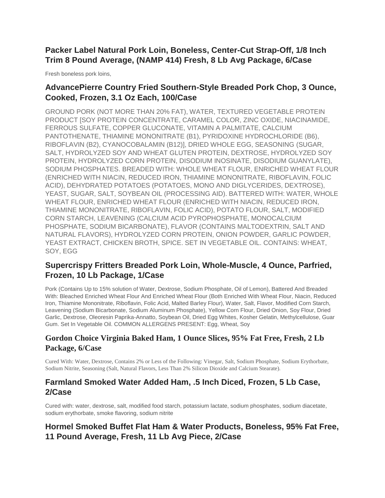# **Packer Label Natural Pork Loin, Boneless, Center-Cut Strap-Off, 1/8 Inch Trim 8 Pound Average, (NAMP 414) Fresh, 8 Lb Avg Package, 6/Case**

Fresh boneless pork loins,

# **AdvancePierre Country Fried Southern-Style Breaded Pork Chop, 3 Ounce, Cooked, Frozen, 3.1 Oz Each, 100/Case**

GROUND PORK (NOT MORE THAN 20% FAT), WATER, TEXTURED VEGETABLE PROTEIN PRODUCT [SOY PROTEIN CONCENTRATE, CARAMEL COLOR, ZINC OXIDE, NIACINAMIDE, FERROUS SULFATE, COPPER GLUCONATE, VITAMIN A PALMITATE, CALCIUM PANTOTHENATE, THIAMINE MONONITRATE (B1), PYRIDOXINE HYDROCHLORIDE (B6), RIBOFLAVIN (B2), CYANOCOBALAMIN (B12)], DRIED WHOLE EGG, SEASONING (SUGAR, SALT, HYDROLYZED SOY AND WHEAT GLUTEN PROTEIN, DEXTROSE, HYDROLYZED SOY PROTEIN, HYDROLYZED CORN PROTEIN, DISODIUM INOSINATE, DISODIUM GUANYLATE), SODIUM PHOSPHATES. BREADED WITH: WHOLE WHEAT FLOUR, ENRICHED WHEAT FLOUR (ENRICHED WITH NIACIN, REDUCED IRON, THIAMINE MONONITRATE, RIBOFLAVIN, FOLIC ACID), DEHYDRATED POTATOES (POTATOES, MONO AND DIGLYCERIDES, DEXTROSE), YEAST, SUGAR, SALT, SOYBEAN OIL (PROCESSING AID). BATTERED WITH: WATER, WHOLE WHEAT FLOUR, ENRICHED WHEAT FLOUR (ENRICHED WITH NIACIN, REDUCED IRON, THIAMINE MONONITRATE, RIBOFLAVIN, FOLIC ACID), POTATO FLOUR, SALT, MODIFIED CORN STARCH, LEAVENING (CALCIUM ACID PYROPHOSPHATE, MONOCALCIUM PHOSPHATE, SODIUM BICARBONATE), FLAVOR (CONTAINS MALTODEXTRIN, SALT AND NATURAL FLAVORS), HYDROLYZED CORN PROTEIN, ONION POWDER, GARLIC POWDER, YEAST EXTRACT, CHICKEN BROTH, SPICE. SET IN VEGETABLE OIL. CONTAINS: WHEAT, SOY, EGG

# **Supercrispy Fritters Breaded Pork Loin, Whole-Muscle, 4 Ounce, Parfried, Frozen, 10 Lb Package, 1/Case**

Pork (Contains Up to 15% solution of Water, Dextrose, Sodium Phosphate, Oil of Lemon), Battered And Breaded With: Bleached Enriched Wheat Flour And Enriched Wheat Flour (Both Enriched With Wheat Flour, Niacin, Reduced Iron, Thiamine Mononitrate, Riboflavin, Folic Acid, Malted Barley Flour), Water, Salt, Flavor, Modified Corn Starch, Leavening (Sodium Bicarbonate, Sodium Aluminum Phosphate), Yellow Corn Flour, Dried Onion, Soy Flour, Dried Garlic, Dextrose, Oleoresin Paprika-Annatto, Soybean Oil, Dried Egg Whites, Kosher Gelatin, Methylcellulose, Guar Gum. Set In Vegetable Oil. COMMON ALLERGENS PRESENT: Egg, Wheat, Soy

## **Gordon Choice Virginia Baked Ham, 1 Ounce Slices, 95% Fat Free, Fresh, 2 Lb Package, 6/Case**

Cured With: Water, Dextrose, Contains 2% or Less of the Following: Vinegar, Salt, Sodium Phosphate, Sodium Erythorbate, Sodium Nitrite, Seasoning (Salt, Natural Flavors, Less Than 2% Silicon Dioxide and Calcium Stearate).

## **Farmland Smoked Water Added Ham, .5 Inch Diced, Frozen, 5 Lb Case, 2/Case**

Cured with: water, dextrose, salt, modified food starch, potassium lactate, sodium phosphates, sodium diacetate, sodium erythorbate, smoke flavoring, sodium nitrite

# **Hormel Smoked Buffet Flat Ham & Water Products, Boneless, 95% Fat Free, 11 Pound Average, Fresh, 11 Lb Avg Piece, 2/Case**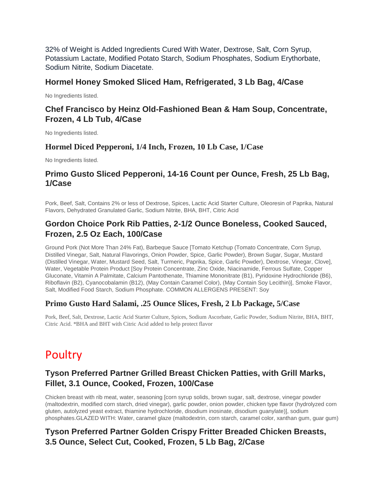32% of Weight is Added Ingredients Cured With Water, Dextrose, Salt, Corn Syrup, Potassium Lactate, Modified Potato Starch, Sodium Phosphates, Sodium Erythorbate, Sodium Nitrite, Sodium Diacetate.

### **Hormel Honey Smoked Sliced Ham, Refrigerated, 3 Lb Bag, 4/Case**

No Ingredients listed.

# **Chef Francisco by Heinz Old-Fashioned Bean & Ham Soup, Concentrate, Frozen, 4 Lb Tub, 4/Case**

No Ingredients listed.

### **Hormel Diced Pepperoni, 1/4 Inch, Frozen, 10 Lb Case, 1/Case**

No Ingredients listed.

### **Primo Gusto Sliced Pepperoni, 14-16 Count per Ounce, Fresh, 25 Lb Bag, 1/Case**

Pork, Beef, Salt, Contains 2% or less of Dextrose, Spices, Lactic Acid Starter Culture, Oleoresin of Paprika, Natural Flavors, Dehydrated Granulated Garlic, Sodium Nitrite, BHA, BHT, Citric Acid

## **Gordon Choice Pork Rib Patties, 2-1/2 Ounce Boneless, Cooked Sauced, Frozen, 2.5 Oz Each, 100/Case**

Ground Pork (Not More Than 24% Fat), Barbeque Sauce [Tomato Ketchup (Tomato Concentrate, Corn Syrup, Distilled Vinegar, Salt, Natural Flavorings, Onion Powder, Spice, Garlic Powder), Brown Sugar, Sugar, Mustard (Distilled Vinegar, Water, Mustard Seed, Salt, Turmeric, Paprika, Spice, Garlic Powder), Dextrose, Vinegar, Clove], Water, Vegetable Protein Product [Soy Protein Concentrate, Zinc Oxide, Niacinamide, Ferrous Sulfate, Copper Gluconate, Vitamin A Palmitate, Calcium Pantothenate, Thiamine Mononitrate (B1), Pyridoxine Hydrochloride (B6), Riboflavin (B2), Cyanocobalamin (B12), (May Contain Caramel Color), (May Contain Soy Lecithin)], Smoke Flavor, Salt, Modified Food Starch, Sodium Phosphate. COMMON ALLERGENS PRESENT: Soy

### **Primo Gusto Hard Salami, .25 Ounce Slices, Fresh, 2 Lb Package, 5/Case**

Pork, Beef, Salt, Dextrose, Lactic Acid Starter Culture, Spices, Sodium Ascorbate, Garlic Powder, Sodium Nitrite, BHA, BHT, Citric Acid. \*BHA and BHT with Citric Acid added to help protect flavor

# Poultry

# **Tyson Preferred Partner Grilled Breast Chicken Patties, with Grill Marks, Fillet, 3.1 Ounce, Cooked, Frozen, 100/Case**

Chicken breast with rib meat, water, seasoning [corn syrup solids, brown sugar, salt, dextrose, vinegar powder (maltodextrin, modified corn starch, dried vinegar), garlic powder, onion powder, chicken type flavor (hydrolyzed corn gluten, autolyzed yeast extract, thiamine hydrochloride, disodium inosinate, disodium guanylate)], sodium phosphates.GLAZED WITH: Water, caramel glaze (maltodextrin, corn starch, caramel color, xanthan gum, guar gum)

# **Tyson Preferred Partner Golden Crispy Fritter Breaded Chicken Breasts, 3.5 Ounce, Select Cut, Cooked, Frozen, 5 Lb Bag, 2/Case**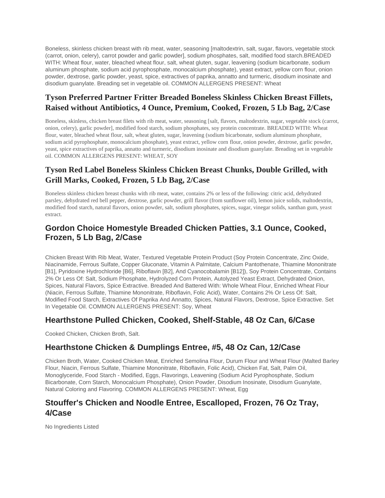Boneless, skinless chicken breast with rib meat, water, seasoning [maltodextrin, salt, sugar, flavors, vegetable stock (carrot, onion, celery), carrot powder and garlic powder], sodium phosphates, salt, modified food starch.BREADED WITH: Wheat flour, water, bleached wheat flour, salt, wheat gluten, sugar, leavening (sodium bicarbonate, sodium aluminum phosphate, sodium acid pyrophosphate, monocalcium phosphate), yeast extract, yellow corn flour, onion powder, dextrose, garlic powder, yeast, spice, extractives of paprika, annatto and turmeric, disodium inosinate and disodium guanylate. Breading set in vegetable oil. COMMON ALLERGENS PRESENT: Wheat

## **Tyson Preferred Partner Fritter Breaded Boneless Skinless Chicken Breast Fillets, Raised without Antibiotics, 4 Ounce, Premium, Cooked, Frozen, 5 Lb Bag, 2/Case**

Boneless, skinless, chicken breast filets with rib meat, water, seasoning [salt, flavors, maltodextrin, sugar, vegetable stock (carrot, onion, celery), garlic powder], modified food starch, sodium phosphates, soy protein concentrate. BREADED WITH: Wheat flour, water, bleached wheat flour, salt, wheat gluten, sugar, leavening (sodium bicarbonate, sodium aluminum phosphate, sodium acid pyrophosphate, monocalcium phosphate), yeast extract, yellow corn flour, onion powder, dextrose, garlic powder, yeast, spice extractives of paprika, annatto and turmeric, disodium inosinate and disodium guanylate. Breading set in vegetable oil. COMMON ALLERGENS PRESENT: WHEAT, SOY

# **Tyson Red Label Boneless Skinless Chicken Breast Chunks, Double Grilled, with Grill Marks, Cooked, Frozen, 5 Lb Bag, 2/Case**

Boneless skinless chicken breast chunks with rib meat, water, contains 2% or less of the following: citric acid, dehydrated parsley, dehydrated red bell pepper, dextrose, garlic powder, grill flavor (from sunflower oil), lemon juice solids, maltodextrin, modified food starch, natural flavors, onion powder, salt, sodium phosphates, spices, sugar, vinegar solids, xanthan gum, yeast extract.

## **Gordon Choice Homestyle Breaded Chicken Patties, 3.1 Ounce, Cooked, Frozen, 5 Lb Bag, 2/Case**

Chicken Breast With Rib Meat, Water, Textured Vegetable Protein Product (Soy Protein Concentrate, Zinc Oxide, Niacinamide, Ferrous Sulfate, Copper Gluconate, Vitamin A Palmitate, Calcium Pantothenate, Thiamine Mononitrate [B1], Pyridoxine Hydrochloride [B6], Riboflavin [B2], And Cyanocobalamin [B12]), Soy Protein Concentrate, Contains 2% Or Less Of: Salt, Sodium Phosphate, Hydrolyzed Corn Protein, Autolyzed Yeast Extract, Dehydrated Onion, Spices, Natural Flavors, Spice Extractive. Breaded And Battered With: Whole Wheat Flour, Enriched Wheat Flour (Niacin, Ferrous Sulfate, Thiamine Mononitrate, Riboflavin, Folic Acid), Water, Contains 2% Or Less Of: Salt, Modified Food Starch, Extractives Of Paprika And Annatto, Spices, Natural Flavors, Dextrose, Spice Extractive. Set In Vegetable Oil. COMMON ALLERGENS PRESENT: Soy, Wheat

### **Hearthstone Pulled Chicken, Cooked, Shelf-Stable, 48 Oz Can, 6/Case**

Cooked Chicken, Chicken Broth, Salt.

## **Hearthstone Chicken & Dumplings Entree, #5, 48 Oz Can, 12/Case**

Chicken Broth, Water, Cooked Chicken Meat, Enriched Semolina Flour, Durum Flour and Wheat Flour (Malted Barley Flour, Niacin, Ferrous Sulfate, Thiamine Mononitrate, Riboflavin, Folic Acid), Chicken Fat, Salt, Palm Oil, Monoglyceride, Food Starch - Modified, Eggs, Flavorings, Leavening (Sodium Acid Pyrophosphate, Sodium Bicarbonate, Corn Starch, Monocalcium Phosphate), Onion Powder, Disodium Inosinate, Disodium Guanylate, Natural Coloring and Flavoring. COMMON ALLERGENS PRESENT: Wheat, Egg

## **Stouffer's Chicken and Noodle Entree, Escalloped, Frozen, 76 Oz Tray, 4/Case**

No Ingredients Listed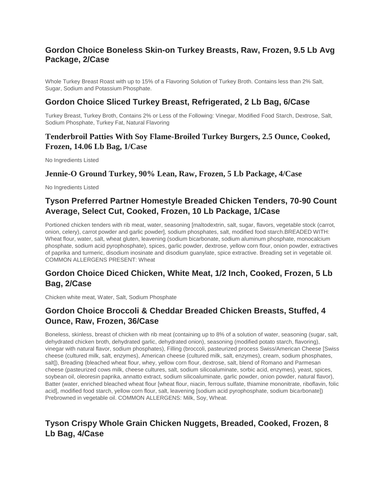## **Gordon Choice Boneless Skin-on Turkey Breasts, Raw, Frozen, 9.5 Lb Avg Package, 2/Case**

Whole Turkey Breast Roast with up to 15% of a Flavoring Solution of Turkey Broth. Contains less than 2% Salt, Sugar, Sodium and Potassium Phosphate.

### **Gordon Choice Sliced Turkey Breast, Refrigerated, 2 Lb Bag, 6/Case**

Turkey Breast, Turkey Broth, Contains 2% or Less of the Following: Vinegar, Modified Food Starch, Dextrose, Salt, Sodium Phosphate, Turkey Fat, Natural Flavoring

### **Tenderbroil Patties With Soy Flame-Broiled Turkey Burgers, 2.5 Ounce, Cooked, Frozen, 14.06 Lb Bag, 1/Case**

No Ingredients Listed

#### **Jennie-O Ground Turkey, 90% Lean, Raw, Frozen, 5 Lb Package, 4/Case**

No Ingredients Listed

# **Tyson Preferred Partner Homestyle Breaded Chicken Tenders, 70-90 Count Average, Select Cut, Cooked, Frozen, 10 Lb Package, 1/Case**

Portioned chicken tenders with rib meat, water, seasoning [maltodextrin, salt, sugar, flavors, vegetable stock (carrot, onion, celery), carrot powder and garlic powder], sodium phosphates, salt, modified food starch.BREADED WITH: Wheat flour, water, salt, wheat gluten, leavening (sodium bicarbonate, sodium aluminum phosphate, monocalcium phosphate, sodium acid pyrophosphate), spices, garlic powder, dextrose, yellow corn flour, onion powder, extractives of paprika and turmeric, disodium inosinate and disodium guanylate, spice extractive. Breading set in vegetable oil. COMMON ALLERGENS PRESENT: Wheat

## **Gordon Choice Diced Chicken, White Meat, 1/2 Inch, Cooked, Frozen, 5 Lb Bag, 2/Case**

Chicken white meat, Water, Salt, Sodium Phosphate

## **Gordon Choice Broccoli & Cheddar Breaded Chicken Breasts, Stuffed, 4 Ounce, Raw, Frozen, 36/Case**

Boneless, skinless, breast of chicken with rib meat (containing up to 8% of a solution of water, seasoning (sugar, salt, dehydrated chicken broth, dehydrated garlic, dehydrated onion), seasoning (modified potato starch, flavoring), vinegar with natural flavor, sodium phosphates), Filling (broccoli, pasteurized process Swiss/American Cheese [Swiss cheese (cultured milk, salt, enzymes), American cheese (cultured milk, salt, enzymes), cream, sodium phosphates, salt]), Breading (bleached wheat flour, whey, yellow corn flour, dextrose, salt, blend of Romano and Parmesan cheese (pasteurized cows milk, cheese cultures, salt, sodium silicoaluminate, sorbic acid, enzymes), yeast, spices, soybean oil, oleoresin paprika, annatto extract, sodium silicoaluminate, garlic powder, onion powder, natural flavor), Batter (water, enriched bleached wheat flour [wheat flour, niacin, ferrous sulfate, thiamine mononitrate, riboflavin, folic acid], modified food starch, yellow corn flour, salt, leavening [sodium acid pyrophosphate, sodium bicarbonate]) Prebrowned in vegetable oil. COMMON ALLERGENS: Milk, Soy, Wheat.

# **Tyson Crispy Whole Grain Chicken Nuggets, Breaded, Cooked, Frozen, 8 Lb Bag, 4/Case**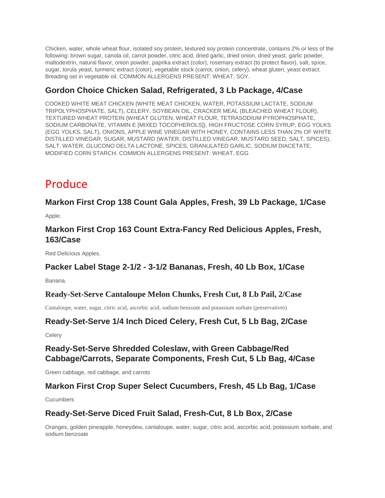Chicken, water, whole wheat flour, isolated soy protein, textured soy protein concentrate, contains 2% or less of the following: brown sugar, canola oil, carrot powder, citric acid, dried garlic, dried onion, dried yeast, garlic powder, maltodextrin, natural flavor, onion powder, paprika extract (color), rosemary extract (to protect flavor), salt, spice, sugar, torula yeast, turmeric extract (color), vegetable stock (carrot, onion, celery), wheat gluten, yeast extract. Breading set in vegetable oil. COMMON ALLERGENS PRESENT: WHEAT, SOY.

# **Gordon Choice Chicken Salad, Refrigerated, 3 Lb Package, 4/Case**

COOKED WHITE MEAT CHICKEN (WHITE MEAT CHICKEN, WATER, POTASSIUM LACTATE, SODIUM TRIPOLYPHOSPHATE, SALT), CELERY, SOYBEAN OIL, CRACKER MEAL (BLEACHED WHEAT FLOUR), TEXTURED WHEAT PROTEIN (WHEAT GLUTEN, WHEAT FLOUR, TETRASODIUM PYROPHOSPHATE, SODIUM CARBONATE, VITAMIN E [MIXED TOCOPHEROLS]), HIGH FRUCTOSE CORN SYRUP, EGG YOLKS (EGG YOLKS, SALT), ONIONS, APPLE WINE VINEGAR WITH HONEY, CONTAINS LESS THAN 2% OF WHITE DISTILLED VINEGAR, SUGAR, MUSTARD (WATER, DISTILLED VINEGAR, MUSTARD SEED, SALT, SPICES), SALT, WATER, GLUCONO DELTA LACTONE, SPICES, GRANULATED GARLIC, SODIUM DIACETATE, MODIFIED CORN STARCH. COMMON ALLERGENS PRESENT: WHEAT, EGG

# Produce

### **Markon First Crop 138 Count Gala Apples, Fresh, 39 Lb Package, 1/Case**

Apple.

## **Markon First Crop 163 Count Extra-Fancy Red Delicious Apples, Fresh, 163/Case**

Red Delicious Apples.

### **Packer Label Stage 2-1/2 - 3-1/2 Bananas, Fresh, 40 Lb Box, 1/Case**

Banana.

### **Ready-Set-Serve Cantaloupe Melon Chunks, Fresh Cut, 8 Lb Pail, 2/Case**

Cantaloupe, water, sugar, citric acid, ascorbic acid, sodium benzoate and potassium sorbate (preservatives)

### **Ready-Set-Serve 1/4 Inch Diced Celery, Fresh Cut, 5 Lb Bag, 2/Case**

**Celery** 

# **Ready-Set-Serve Shredded Coleslaw, with Green Cabbage/Red Cabbage/Carrots, Separate Components, Fresh Cut, 5 Lb Bag, 4/Case**

Green cabbage, red cabbage, and carrots

## **Markon First Crop Super Select Cucumbers, Fresh, 45 Lb Bag, 1/Case**

**Cucumbers** 

### **Ready-Set-Serve Diced Fruit Salad, Fresh-Cut, 8 Lb Box, 2/Case**

Oranges, golden pineapple, honeydew, cantaloupe, water, sugar, citric acid, ascorbic acid, potassium sorbate, and sodium benzoate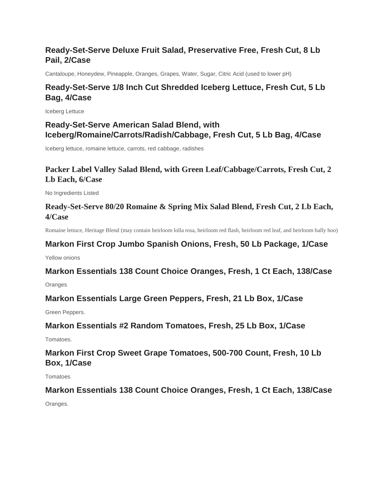# **Ready-Set-Serve Deluxe Fruit Salad, Preservative Free, Fresh Cut, 8 Lb Pail, 2/Case**

Cantaloupe, Honeydew, Pineapple, Oranges, Grapes, Water, Sugar, Citric Acid (used to lower pH)

# **Ready-Set-Serve 1/8 Inch Cut Shredded Iceberg Lettuce, Fresh Cut, 5 Lb Bag, 4/Case**

Iceberg Lettuce

## **Ready-Set-Serve American Salad Blend, with Iceberg/Romaine/Carrots/Radish/Cabbage, Fresh Cut, 5 Lb Bag, 4/Case**

Iceberg lettuce, romaine lettuce, carrots, red cabbage, radishes

## **Packer Label Valley Salad Blend, with Green Leaf/Cabbage/Carrots, Fresh Cut, 2 Lb Each, 6/Case**

No Ingredients Listed

## **Ready-Set-Serve 80/20 Romaine & Spring Mix Salad Blend, Fresh Cut, 2 Lb Each, 4/Case**

Romaine lettuce, Heritage Blend (may contain heirloom lolla rosa, heirloom red flash, heirloom red leaf, and heirloom bally hoo)

# **Markon First Crop Jumbo Spanish Onions, Fresh, 50 Lb Package, 1/Case**

Yellow onions

### **Markon Essentials 138 Count Choice Oranges, Fresh, 1 Ct Each, 138/Case**

**Oranges** 

### **Markon Essentials Large Green Peppers, Fresh, 21 Lb Box, 1/Case**

Green Peppers.

### **Markon Essentials #2 Random Tomatoes, Fresh, 25 Lb Box, 1/Case**

Tomatoes.

# **Markon First Crop Sweet Grape Tomatoes, 500-700 Count, Fresh, 10 Lb Box, 1/Case**

**Tomatoes** 

### **Markon Essentials 138 Count Choice Oranges, Fresh, 1 Ct Each, 138/Case**

Oranges.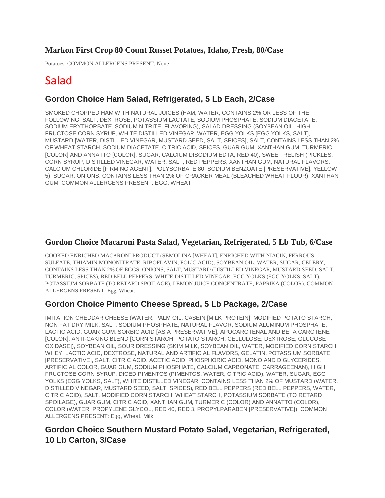### **Markon First Crop 80 Count Russet Potatoes, Idaho, Fresh, 80/Case**

Potatoes. COMMON ALLERGENS PRESENT: None

# Salad

## **Gordon Choice Ham Salad, Refrigerated, 5 Lb Each, 2/Case**

SMOKED CHOPPED HAM WITH NATURAL JUICES (HAM, WATER, CONTAINS 2% OR LESS OF THE FOLLOWING: SALT, DEXTROSE, POTASSIUM LACTATE, SODIUM PHOSPHATE, SODIUM DIACETATE, SODIUM ERYTHORBATE, SODIUM NITRITE, FLAVORING), SALAD DRESSING (SOYBEAN OIL, HIGH FRUCTOSE CORN SYRUP, WHITE DISTILLED VINEGAR, WATER, EGG YOLKS [EGG YOLKS, SALT], MUSTARD [WATER, DISTILLED VINEGAR, MUSTARD SEED, SALT, SPICES], SALT, CONTAINS LESS THAN 2% OF WHEAT STARCH, SODIUM DIACETATE, CITRIC ACID, SPICES, GUAR GUM, XANTHAN GUM, TURMERIC [COLOR] AND ANNATTO [COLOR], SUGAR, CALCIUM DISODIUM EDTA, RED 40), SWEET RELISH (PICKLES, CORN SYRUP, DISTILLED VINEGAR, WATER, SALT, RED PEPPERS, XANTHAN GUM, NATURAL FLAVORS, CALCIUM CHLORIDE [FIRMING AGENT], POLYSORBATE 80, SODIUM BENZOATE [PRESERVATIVE], YELLOW 5), SUGAR, ONIONS, CONTAINS LESS THAN 2% OF CRACKER MEAL (BLEACHED WHEAT FLOUR), XANTHAN GUM. COMMON ALLERGENS PRESENT: EGG, WHEAT

### **Gordon Choice Macaroni Pasta Salad, Vegetarian, Refrigerated, 5 Lb Tub, 6/Case**

COOKED ENRICHED MACARONI PRODUCT (SEMOLINA [WHEAT], ENRICHED WITH NIACIN, FERROUS SULFATE, THIAMIN MONONITRATE, RIBOFLAVIN, FOLIC ACID), SOYBEAN OIL, WATER, SUGAR, CELERY, CONTAINS LESS THAN 2% OF EGGS, ONIONS, SALT, MUSTARD (DISTILLED VINEGAR, MUSTARD SEED, SALT, TURMERIC, SPICES), RED BELL PEPPERS, WHITE DISTILLED VINEGAR, EGG YOLKS (EGG YOLKS, SALT), POTASSIUM SORBATE (TO RETARD SPOILAGE), LEMON JUICE CONCENTRATE, PAPRIKA (COLOR). COMMON ALLERGENS PRESENT: Egg, Wheat.

### **Gordon Choice Pimento Cheese Spread, 5 Lb Package, 2/Case**

IMITATION CHEDDAR CHEESE (WATER, PALM OIL, CASEIN [MILK PROTEIN], MODIFIED POTATO STARCH, NON FAT DRY MILK, SALT, SODIUM PHOSPHATE, NATURAL FLAVOR, SODIUM ALUMINUM PHOSPHATE, LACTIC ACID, GUAR GUM, SORBIC ACID [AS A PRESERVATIVE], APOCAROTENAL AND BETA CAROTENE [COLOR], ANTI-CAKING BLEND [CORN STARCH, POTATO STARCH, CELLULOSE, DEXTROSE, GLUCOSE OXIDASE]), SOYBEAN OIL, SOUR DRESSING (SKIM MILK, SOYBEAN OIL, WATER, MODIFIED CORN STARCH, WHEY, LACTIC ACID, DEXTROSE, NATURAL AND ARTIFICIAL FLAVORS, GELATIN, POTASSIUM SORBATE [PRESERVATIVE], SALT, CITRIC ACID, ACETIC ACID, PHOSPHORIC ACID, MONO AND DIGLYCERIDES, ARTIFICIAL COLOR, GUAR GUM, SODIUM PHOSPHATE, CALCIUM CARBONATE, CARRAGEENAN), HIGH FRUCTOSE CORN SYRUP, DICED PIMENTOS (PIMENTOS, WATER, CITRIC ACID), WATER, SUGAR, EGG YOLKS (EGG YOLKS, SALT), WHITE DISTILLED VINEGAR, CONTAINS LESS THAN 2% OF MUSTARD (WATER, DISTILLED VINEGAR, MUSTARD SEED, SALT, SPICES), RED BELL PEPPERS (RED BELL PEPPERS, WATER, CITRIC ACID), SALT, MODIFIED CORN STARCH, WHEAT STARCH, POTASSIUM SORBATE (TO RETARD SPOILAGE), GUAR GUM, CITRIC ACID, XANTHAN GUM, TURMERIC (COLOR) AND ANNATTO (COLOR), COLOR (WATER, PROPYLENE GLYCOL, RED 40, RED 3, PROPYLPARABEN [PRESERVATIVE]). COMMON ALLERGENS PRESENT: Egg, Wheat, Milk

## **Gordon Choice Southern Mustard Potato Salad, Vegetarian, Refrigerated, 10 Lb Carton, 3/Case**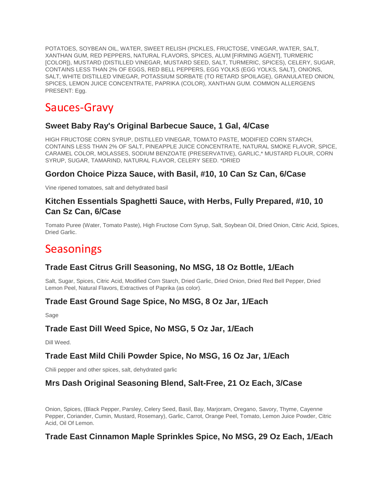POTATOES, SOYBEAN OIL, WATER, SWEET RELISH (PICKLES, FRUCTOSE, VINEGAR, WATER, SALT, XANTHAN GUM, RED PEPPERS, NATURAL FLAVORS, SPICES, ALUM [FIRMING AGENT], TURMERIC [COLOR]), MUSTARD (DISTILLED VINEGAR, MUSTARD SEED, SALT, TURMERIC, SPICES), CELERY, SUGAR, CONTAINS LESS THAN 2% OF EGGS, RED BELL PEPPERS, EGG YOLKS (EGG YOLKS, SALT), ONIONS, SALT, WHITE DISTILLED VINEGAR, POTASSIUM SORBATE (TO RETARD SPOILAGE), GRANULATED ONION, SPICES, LEMON JUICE CONCENTRATE, PAPRIKA (COLOR), XANTHAN GUM. COMMON ALLERGENS PRESENT: Egg.

# Sauces-Gravy

## **Sweet Baby Ray's Original Barbecue Sauce, 1 Gal, 4/Case**

HIGH FRUCTOSE CORN SYRUP, DISTILLED VINEGAR, TOMATO PASTE, MODIFIED CORN STARCH, CONTAINS LESS THAN 2% OF SALT, PINEAPPLE JUICE CONCENTRATE, NATURAL SMOKE FLAVOR, SPICE, CARAMEL COLOR, MOLASSES, SODIUM BENZOATE (PRESERVATIVE), GARLIC,\* MUSTARD FLOUR, CORN SYRUP, SUGAR, TAMARIND, NATURAL FLAVOR, CELERY SEED. \*DRIED

### **Gordon Choice Pizza Sauce, with Basil, #10, 10 Can Sz Can, 6/Case**

Vine ripened tomatoes, salt and dehydrated basil

## **Kitchen Essentials Spaghetti Sauce, with Herbs, Fully Prepared, #10, 10 Can Sz Can, 6/Case**

Tomato Puree (Water, Tomato Paste), High Fructose Corn Syrup, Salt, Soybean Oil, Dried Onion, Citric Acid, Spices, Dried Garlic.

# **Seasonings**

### **Trade East Citrus Grill Seasoning, No MSG, 18 Oz Bottle, 1/Each**

Salt, Sugar, Spices, Citric Acid, Modified Corn Starch, Dried Garlic, Dried Onion, Dried Red Bell Pepper, Dried Lemon Peel, Natural Flavors, Extractives of Paprika (as color).

### **Trade East Ground Sage Spice, No MSG, 8 Oz Jar, 1/Each**

Sage

### **Trade East Dill Weed Spice, No MSG, 5 Oz Jar, 1/Each**

Dill Weed.

### **Trade East Mild Chili Powder Spice, No MSG, 16 Oz Jar, 1/Each**

Chili pepper and other spices, salt, dehydrated garlic

### **Mrs Dash Original Seasoning Blend, Salt-Free, 21 Oz Each, 3/Case**

Onion, Spices, (Black Pepper, Parsley, Celery Seed, Basil, Bay, Marjoram, Oregano, Savory, Thyme, Cayenne Pepper, Coriander, Cumin, Mustard, Rosemary), Garlic, Carrot, Orange Peel, Tomato, Lemon Juice Powder, Citric Acid, Oil Of Lemon.

## **Trade East Cinnamon Maple Sprinkles Spice, No MSG, 29 Oz Each, 1/Each**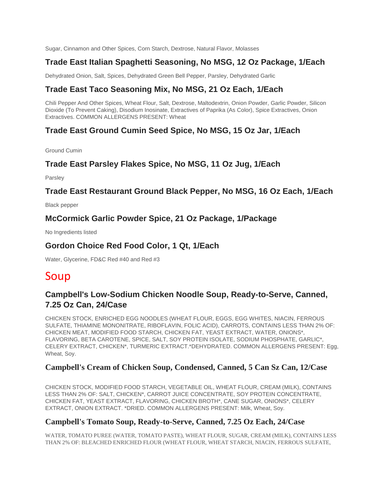Sugar, Cinnamon and Other Spices, Corn Starch, Dextrose, Natural Flavor, Molasses

## **Trade East Italian Spaghetti Seasoning, No MSG, 12 Oz Package, 1/Each**

Dehydrated Onion, Salt, Spices, Dehydrated Green Bell Pepper, Parsley, Dehydrated Garlic

## **Trade East Taco Seasoning Mix, No MSG, 21 Oz Each, 1/Each**

Chili Pepper And Other Spices, Wheat Flour, Salt, Dextrose, Maltodextrin, Onion Powder, Garlic Powder, Silicon Dioxide (To Prevent Caking), Disodium Inosinate, Extractives of Paprika (As Color), Spice Extractives, Onion Extractives. COMMON ALLERGENS PRESENT: Wheat

## **Trade East Ground Cumin Seed Spice, No MSG, 15 Oz Jar, 1/Each**

Ground Cumin

### **Trade East Parsley Flakes Spice, No MSG, 11 Oz Jug, 1/Each**

Parsley

**Trade East Restaurant Ground Black Pepper, No MSG, 16 Oz Each, 1/Each**

Black pepper

### **McCormick Garlic Powder Spice, 21 Oz Package, 1/Package**

No Ingredients listed

### **Gordon Choice Red Food Color, 1 Qt, 1/Each**

Water, Glycerine, FD&C Red #40 and Red #3

# Soup

### **Campbell's Low-Sodium Chicken Noodle Soup, Ready-to-Serve, Canned, 7.25 Oz Can, 24/Case**

CHICKEN STOCK, ENRICHED EGG NOODLES (WHEAT FLOUR, EGGS, EGG WHITES, NIACIN, FERROUS SULFATE, THIAMINE MONONITRATE, RIBOFLAVIN, FOLIC ACID), CARROTS, CONTAINS LESS THAN 2% OF: CHICKEN MEAT, MODIFIED FOOD STARCH, CHICKEN FAT, YEAST EXTRACT, WATER, ONIONS\*, FLAVORING, BETA CAROTENE, SPICE, SALT, SOY PROTEIN ISOLATE, SODIUM PHOSPHATE, GARLIC\*, CELERY EXTRACT, CHICKEN\*, TURMERIC EXTRACT.\*DEHYDRATED. COMMON ALLERGENS PRESENT: Egg, Wheat, Soy.

### **Campbell's Cream of Chicken Soup, Condensed, Canned, 5 Can Sz Can, 12/Case**

CHICKEN STOCK, MODIFIED FOOD STARCH, VEGETABLE OIL, WHEAT FLOUR, CREAM (MILK), CONTAINS LESS THAN 2% OF: SALT, CHICKEN\*, CARROT JUICE CONCENTRATE, SOY PROTEIN CONCENTRATE, CHICKEN FAT, YEAST EXTRACT, FLAVORING, CHICKEN BROTH\*, CANE SUGAR, ONIONS\*, CELERY EXTRACT, ONION EXTRACT. \*DRIED. COMMON ALLERGENS PRESENT: Milk, Wheat, Soy.

### **Campbell's Tomato Soup, Ready-to-Serve, Canned, 7.25 Oz Each, 24/Case**

WATER, TOMATO PUREE (WATER, TOMATO PASTE), WHEAT FLOUR, SUGAR, CREAM (MILK), CONTAINS LESS THAN 2% OF: BLEACHED ENRICHED FLOUR (WHEAT FLOUR, WHEAT STARCH, NIACIN, FERROUS SULFATE,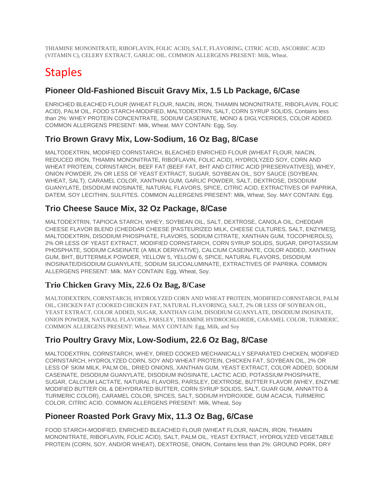THIAMINE MONONITRATE, RIBOFLAVIN, FOLIC ACID), SALT, FLAVORING, CITRIC ACID, ASCORBIC ACID (VITAMIN C), CELERY EXTRACT, GARLIC OIL. COMMON ALLERGENS PRESENT: Milk, Wheat.

# **Staples**

## **Pioneer Old-Fashioned Biscuit Gravy Mix, 1.5 Lb Package, 6/Case**

ENRICHED BLEACHED FLOUR (WHEAT FLOUR, NIACIN, IRON, THIAMIN MONONITRATE, RIBOFLAVIN, FOLIC ACID), PALM OIL, FOOD STARCH-MODIFIED, MALTODEXTRIN, SALT, CORN SYRUP SOLIDS, Contains less than 2%: WHEY PROTEIN CONCENTRATE, SODIUM CASEINATE, MONO & DIGLYCERIDES, COLOR ADDED. COMMON ALLERGENS PRESENT: Milk, Wheat. MAY CONTAIN: Egg, Soy.

### **Trio Brown Gravy Mix, Low-Sodium, 16 Oz Bag, 8/Case**

MALTODEXTRIN, MODIFIED CORNSTARCH, BLEACHED ENRICHED FLOUR (WHEAT FLOUR, NIACIN, REDUCED IRON, THIAMIN MONONITRATE, RIBOFLAVIN, FOLIC ACID), HYDROLYZED SOY, CORN AND WHEAT PROTEIN, CORNSTARCH, BEEF FAT (BEEF FAT, BHT AND CITRIC ACID [PRESERVATIVES]), WHEY, ONION POWDER, 2% OR LESS OF YEAST EXTRACT, SUGAR, SOYBEAN OIL, SOY SAUCE (SOYBEAN, WHEAT, SALT), CARAMEL COLOR, XANTHAN GUM, GARLIC POWDER, SALT, DEXTROSE, DISODIUM GUANYLATE, DISODIUM INOSINATE, NATURAL FLAVORS, SPICE, CITRIC ACID, EXTRACTIVES OF PAPRIKA, DATEM, SOY LECITHIN, SULFITES. COMMON ALLERGENS PRESENT: Milk, Wheat, Soy. MAY CONTAIN: Egg.

### **Trio Cheese Sauce Mix, 32 Oz Package, 8/Case**

MALTODEXTRIN, TAPIOCA STARCH, WHEY, SOYBEAN OIL, SALT, DEXTROSE, CANOLA OIL, CHEDDAR CHEESE FLAVOR BLEND (CHEDDAR CHEESE [PASTEURIZED MILK, CHEESE CULTURES, SALT, ENZYMES], MALTODEXTRIN, DISODIUM PHOSPHATE, FLAVORS, SODIUM CITRATE, XANTHAN GUM, TOCOPHEROLS), 2% OR LESS OF YEAST EXTRACT, MODIFIED CORNSTARCH, CORN SYRUP SOLIDS, SUGAR, DIPOTASSIUM PHOSPHATE, SODIUM CASEINATE (A MILK DERIVATIVE), CALCIUM CASEINATE, COLOR ADDED, XANTHAN GUM, BHT, BUTTERMILK POWDER, YELLOW 5, YELLOW 6, SPICE, NATURAL FLAVORS, DISODIUM INOSINATE/DISODIUM GUANYLATE, SODIUM SILICOALUMINATE, EXTRACTIVES OF PAPRIKA. COMMON ALLERGENS PRESENT: Milk. MAY CONTAIN: Egg, Wheat, Soy.

### **Trio Chicken Gravy Mix, 22.6 Oz Bag, 8/Case**

MALTODEXTRIN, CORNSTARCH, HYDROLYZED CORN AND WHEAT PROTEIN, MODIFIED CORNSTARCH, PALM OIL, CHICKEN FAT (COOKED CHICKEN FAT, NATURAL FLAVORING), SALT, 2% OR LESS OF SOYBEAN OIL, YEAST EXTRACT, COLOR ADDED, SUGAR, XANTHAN GUM, DISODIUM GUANYLATE, DISODIUM INOSINATE, ONION POWDER, NATURAL FLAVORS, PARSLEY, THIAMINE HYDROCHLORIDE, CARAMEL COLOR, TURMERIC. COMMON ALLERGENS PRESENT: Wheat. MAY CONTAIN: Egg, Milk, and Soy

## **Trio Poultry Gravy Mix, Low-Sodium, 22.6 Oz Bag, 8/Case**

MALTODEXTRIN, CORNSTARCH, WHEY, DRIED COOKED MECHANICALLY SEPARATED CHICKEN, MODIFIED CORNSTARCH, HYDROLYZED CORN, SOY AND WHEAT PROTEIN, CHICKEN FAT, SOYBEAN OIL, 2% OR LESS OF SKIM MILK, PALM OIL, DRIED ONIONS, XANTHAN GUM, YEAST EXTRACT, COLOR ADDED, SODIUM CASEINATE, DISODIUM GUANYLATE, DISODIUM INOSINATE, LACTIC ACID, POTASSIUM PHOSPHATE, SUGAR, CALCIUM LACTATE, NATURAL FLAVORS, PARSLEY, DEXTROSE, BUTTER FLAVOR (WHEY, ENZYME MODIFIED BUTTER OIL & DEHYDRATED BUTTER, CORN SYRUP SOLIDS, SALT, GUAR GUM, ANNATTO & TURMERIC COLOR), CARAMEL COLOR, SPICES, SALT, SODIUM HYDROXIDE, GUM ACACIA, TURMERIC COLOR, CITRIC ACID. COMMON ALLERGENS PRESENT: Milk, Wheat, Soy

## **Pioneer Roasted Pork Gravy Mix, 11.3 Oz Bag, 6/Case**

FOOD STARCH-MODIFIED, ENRICHED BLEACHED FLOUR (WHEAT FLOUR, NIACIN, IRON, THIAMIN MONONITRATE, RIBOFLAVIN, FOLIC ACID), SALT, PALM OIL, YEAST EXTRACT, HYDROLYZED VEGETABLE PROTEIN (CORN, SOY, AND/OR WHEAT), DEXTROSE, ONION, Contains less than 2%: GROUND PORK, DRY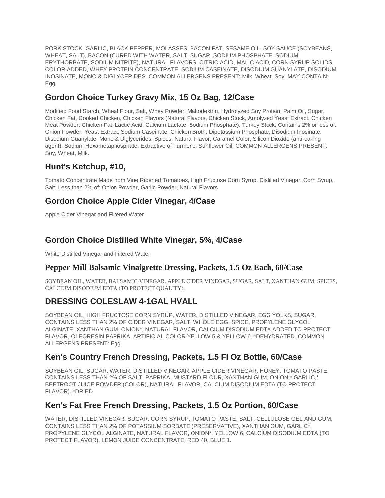PORK STOCK, GARLIC, BLACK PEPPER, MOLASSES, BACON FAT, SESAME OIL, SOY SAUCE (SOYBEANS, WHEAT, SALT), BACON (CURED WITH WATER, SALT, SUGAR, SODIUM PHOSPHATE, SODIUM ERYTHORBATE, SODIUM NITRITE), NATURAL FLAVORS, CITRIC ACID, MALIC ACID, CORN SYRUP SOLIDS, COLOR ADDED, WHEY PROTEIN CONCENTRATE, SODIUM CASEINATE, DISODIUM GUANYLATE, DISODIUM INOSINATE, MONO & DIGLYCERIDES. COMMON ALLERGENS PRESENT: Milk, Wheat, Soy. MAY CONTAIN: Egg

## **Gordon Choice Turkey Gravy Mix, 15 Oz Bag, 12/Case**

Modified Food Starch, Wheat Flour, Salt, Whey Powder, Maltodextrin, Hydrolyzed Soy Protein, Palm Oil, Sugar, Chicken Fat, Cooked Chicken, Chicken Flavors (Natural Flavors, Chicken Stock, Autolyzed Yeast Extract, Chicken Meat Powder, Chicken Fat, Lactic Acid, Calcium Lactate, Sodium Phosphate), Turkey Stock, Contains 2% or less of: Onion Powder, Yeast Extract, Sodium Caseinate, Chicken Broth, Dipotassium Phosphate, Disodium Inosinate, Disodium Guanylate, Mono & Diglycerides, Spices, Natural Flavor, Caramel Color, Silicon Dioxide (anti-caking agent), Sodium Hexametaphosphate, Extractive of Turmeric, Sunflower Oil. COMMON ALLERGENS PRESENT: Soy, Wheat, Milk.

## **Hunt's Ketchup, #10,**

Tomato Concentrate Made from Vine Ripened Tomatoes, High Fructose Corn Syrup, Distilled Vinegar, Corn Syrup, Salt, Less than 2% of: Onion Powder, Garlic Powder, Natural Flavors

## **Gordon Choice Apple Cider Vinegar, 4/Case**

Apple Cider Vinegar and Filtered Water

## **Gordon Choice Distilled White Vinegar, 5%, 4/Case**

White Distilled Vinegar and Filtered Water.

### **Pepper Mill Balsamic Vinaigrette Dressing, Packets, 1.5 Oz Each, 60/Case**

SOYBEAN OIL, WATER, BALSAMIC VINEGAR, APPLE CIDER VINEGAR, SUGAR, SALT, XANTHAN GUM, SPICES, CALCIUM DISODIUM EDTA (TO PROTECT QUALITY).

## **DRESSING COLESLAW 4-1GAL HVALL**

SOYBEAN OIL, HIGH FRUCTOSE CORN SYRUP, WATER, DISTILLED VINEGAR, EGG YOLKS, SUGAR, CONTAINS LESS THAN 2% OF CIDER VINEGAR, SALT, WHOLE EGG, SPICE, PROPYLENE GLYCOL ALGINATE, XANTHAN GUM, ONION\*, NATURAL FLAVOR, CALCIUM DISODIUM EDTA ADDED TO PROTECT FLAVOR, OLEORESIN PAPRIKA, ARTIFICIAL COLOR YELLOW 5 & YELLOW 6. \*DEHYDRATED. COMMON ALLERGENS PRESENT: Egg

### **Ken's Country French Dressing, Packets, 1.5 Fl Oz Bottle, 60/Case**

SOYBEAN OIL, SUGAR, WATER, DISTILLED VINEGAR, APPLE CIDER VINEGAR, HONEY, TOMATO PASTE, CONTAINS LESS THAN 2% OF SALT, PAPRIKA, MUSTARD FLOUR, XANTHAN GUM, ONION,\* GARLIC,\* BEETROOT JUICE POWDER (COLOR), NATURAL FLAVOR, CALCIUM DISODIUM EDTA (TO PROTECT FLAVOR). \*DRIED

### **Ken's Fat Free French Dressing, Packets, 1.5 Oz Portion, 60/Case**

WATER, DISTILLED VINEGAR, SUGAR, CORN SYRUP, TOMATO PASTE, SALT, CELLULOSE GEL AND GUM, CONTAINS LESS THAN 2% OF POTASSIUM SORBATE (PRESERVATIVE), XANTHAN GUM, GARLIC\*, PROPYLENE GLYCOL ALGINATE, NATURAL FLAVOR, ONION\*, YELLOW 6, CALCIUM DISODIUM EDTA (TO PROTECT FLAVOR), LEMON JUICE CONCENTRATE, RED 40, BLUE 1.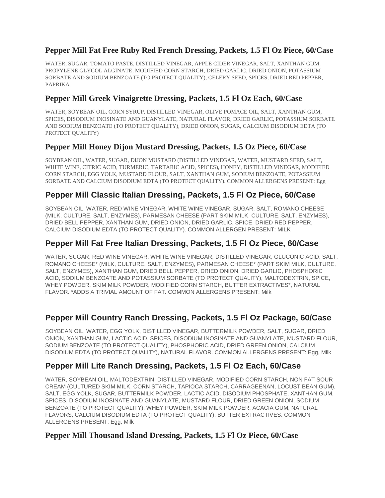### **Pepper Mill Fat Free Ruby Red French Dressing, Packets, 1.5 Fl Oz Piece, 60/Case**

WATER, SUGAR, TOMATO PASTE, DISTILLED VINEGAR, APPLE CIDER VINEGAR, SALT, XANTHAN GUM, PROPYLENE GLYCOL ALGINATE, MODIFIED CORN STARCH, DRIED GARLIC, DRIED ONION, POTASSIUM SORBATE AND SODIUM BENZOATE (TO PROTECT QUALITY), CELERY SEED, SPICES, DRIED RED PEPPER, PAPRIKA.

### **Pepper Mill Greek Vinaigrette Dressing, Packets, 1.5 Fl Oz Each, 60/Case**

WATER, SOYBEAN OIL, CORN SYRUP, DISTILLED VINEGAR, OLIVE POMACE OIL, SALT, XANTHAN GUM, SPICES, DISODIUM INOSINATE AND GUANYLATE, NATURAL FLAVOR, DRIED GARLIC, POTASSIUM SORBATE AND SODIUM BENZOATE (TO PROTECT QUALITY), DRIED ONION, SUGAR, CALCIUM DISODIUM EDTA (TO PROTECT OUALITY)

### **Pepper Mill Honey Dijon Mustard Dressing, Packets, 1.5 Oz Piece, 60/Case**

SOYBEAN OIL, WATER, SUGAR, DIJON MUSTARD (DISTILLED VINEGAR, WATER, MUSTARD SEED, SALT, WHITE WINE, CITRIC ACID, TURMERIC, TARTARIC ACID, SPICES), HONEY, DISTILLED VINEGAR, MODIFIED CORN STARCH, EGG YOLK, MUSTARD FLOUR, SALT, XANTHAN GUM, SODIUM BENZOATE, POTASSIUM SORBATE AND CALCIUM DISODIUM EDTA (TO PROTECT QUALITY). COMMON ALLERGENS PRESENT: Egg

### **Pepper Mill Classic Italian Dressing, Packets, 1.5 Fl Oz Piece, 60/Case**

SOYBEAN OIL, WATER, RED WINE VINEGAR, WHITE WINE VINEGAR, SUGAR, SALT, ROMANO CHEESE (MILK, CULTURE, SALT, ENZYMES), PARMESAN CHEESE (PART SKIM MILK, CULTURE, SALT, ENZYMES), DRIED BELL PEPPER, XANTHAN GUM, DRIED ONION, DRIED GARLIC, SPICE, DRIED RED PEPPER, CALCIUM DISODIUM EDTA (TO PROTECT QUALITY). COMMON ALLERGEN PRESENT: MILK

## **Pepper Mill Fat Free Italian Dressing, Packets, 1.5 Fl Oz Piece, 60/Case**

WATER, SUGAR, RED WINE VINEGAR, WHITE WINE VINEGAR, DISTILLED VINEGAR, GLUCONIC ACID, SALT, ROMANO CHEESE\* (MILK, CULTURE, SALT, ENZYMES), PARMESAN CHEESE\* (PART SKIM MILK, CULTURE, SALT, ENZYMES), XANTHAN GUM, DRIED BELL PEPPER, DRIED ONION, DRIED GARLIC, PHOSPHORIC ACID, SODIUM BENZOATE AND POTASSIUM SORBATE (TO PROTECT QUALITY), MALTODEXTRIN, SPICE, WHEY POWDER, SKIM MILK POWDER, MODIFIED CORN STARCH, BUTTER EXTRACTIVES\*, NATURAL FLAVOR. \*ADDS A TRIVIAL AMOUNT OF FAT. COMMON ALLERGENS PRESENT: Milk

## **Pepper Mill Country Ranch Dressing, Packets, 1.5 Fl Oz Package, 60/Case**

SOYBEAN OIL, WATER, EGG YOLK, DISTILLED VINEGAR, BUTTERMILK POWDER, SALT, SUGAR, DRIED ONION, XANTHAN GUM, LACTIC ACID, SPICES, DISODIUM INOSINATE AND GUANYLATE, MUSTARD FLOUR, SODIUM BENZOATE (TO PROTECT QUALITY), PHOSPHORIC ACID, DRIED GREEN ONION, CALCIUM DISODIUM EDTA (TO PROTECT QUALITY), NATURAL FLAVOR. COMMON ALLERGENS PRESENT: Egg, Milk

## **Pepper Mill Lite Ranch Dressing, Packets, 1.5 Fl Oz Each, 60/Case**

WATER, SOYBEAN OIL, MALTODEXTRIN, DISTILLED VINEGAR, MODIFIED CORN STARCH, NON FAT SOUR CREAM (CULTURED SKIM MILK, CORN STARCH, TAPIOCA STARCH, CARRAGEENAN, LOCUST BEAN GUM), SALT, EGG YOLK, SUGAR, BUTTERMILK POWDER, LACTIC ACID, DISODIUM PHOSPHATE, XANTHAN GUM, SPICES, DISODIUM INOSINATE AND GUANYLATE, MUSTARD FLOUR, DRIED GREEN ONION, SODIUM BENZOATE (TO PROTECT QUALITY), WHEY POWDER, SKIM MILK POWDER, ACACIA GUM, NATURAL FLAVORS, CALCIUM DISODIUM EDTA (TO PROTECT QUALITY), BUTTER EXTRACTIVES. COMMON ALLERGENS PRESENT: Egg, Milk

### **Pepper Mill Thousand Island Dressing, Packets, 1.5 Fl Oz Piece, 60/Case**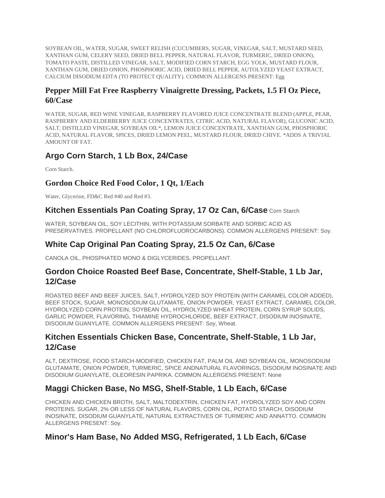SOYBEAN OIL, WATER, SUGAR, SWEET RELISH (CUCUMBERS, SUGAR, VINEGAR, SALT, MUSTARD SEED, XANTHAN GUM, CELERY SEED, DRIED BELL PEPPER, NATURAL FLAVOR, TURMERIC, DRIED ONION), TOMATO PASTE, DISTILLED VINEGAR, SALT, MODIFIED CORN STARCH, EGG YOLK, MUSTARD FLOUR, XANTHAN GUM, DRIED ONION, PHOSPHORIC ACID, DRIED BELL PEPPER, AUTOLYZED YEAST EXTRACT, CALCIUM DISODIUM EDTA (TO PROTECT QUALITY). COMMON ALLERGENS PRESENT: Egg

### **Pepper Mill Fat Free Raspberry Vinaigrette Dressing, Packets, 1.5 Fl Oz Piece, 60/Case**

WATER, SUGAR, RED WINE VINEGAR, RASPBERRY FLAVORED JUICE CONCENTRATE BLEND (APPLE, PEAR, RASPBERRY AND ELDERBERRY JUICE CONCENTRATES, CITRIC ACID, NATURAL FLAVOR), GLUCONIC ACID, SALT, DISTILLED VINEGAR, SOYBEAN OIL\*, LEMON JUICE CONCENTRATE, XANTHAN GUM, PHOSPHORIC ACID, NATURAL FLAVOR, SPICES, DRIED LEMON PEEL, MUSTARD FLOUR, DRIED CHIVE. \*ADDS A TRIVIAL AMOUNT OF FAT.

## **Argo Corn Starch, 1 Lb Box, 24/Case**

Corn Starch.

### **Gordon Choice Red Food Color, 1 Qt, 1/Each**

Water, Glycerine, FD&C Red #40 and Red #3.

### **Kitchen Essentials Pan Coating Spray, 17 Oz Can, 6/Case** Corn Starch

WATER, SOYBEAN OIL, SOY LECITHIN, WITH POTASSIUM SORBATE AND SORBIC ACID AS PRESERVATIVES. PROPELLANT (NO CHLOROFLUOROCARBONS). COMMON ALLERGENS PRESENT: Soy.

### **White Cap Original Pan Coating Spray, 21.5 Oz Can, 6/Case**

CANOLA OIL, PHOSPHATED MONO & DIGLYCERIDES, PROPELLANT.

### **Gordon Choice Roasted Beef Base, Concentrate, Shelf-Stable, 1 Lb Jar, 12/Case**

ROASTED BEEF AND BEEF JUICES, SALT, HYDROLYZED SOY PROTEIN (WITH CARAMEL COLOR ADDED), BEEF STOCK, SUGAR, MONOSODIUM GLUTAMATE, ONION POWDER, YEAST EXTRACT, CARAMEL COLOR, HYDROLYZED CORN PROTEIN, SOYBEAN OIL, HYDROLYZED WHEAT PROTEIN, CORN SYRUP SOLIDS, GARLIC POWDER, FLAVORING, THIAMINE HYDROCHLORIDE, BEEF EXTRACT, DISODIUM INOSINATE, DISODIUM GUANYLATE. COMMON ALLERGENS PRESENT: Soy, Wheat.

### **Kitchen Essentials Chicken Base, Concentrate, Shelf-Stable, 1 Lb Jar, 12/Case**

ALT, DEXTROSE, FOOD STARCH-MODIFIED, CHICKEN FAT, PALM OIL AND SOYBEAN OIL, MONOSODIUM GLUTAMATE, ONION POWDER, TURMERIC, SPICE ANDNATURAL FLAVORINGS, DISODIUM INOSINATE AND DISODIUM GUANYLATE, OLEORESIN PAPRIKA. COMMON ALLERGENS PRESENT: None

### **Maggi Chicken Base, No MSG, Shelf-Stable, 1 Lb Each, 6/Case**

CHICKEN AND CHICKEN BROTH, SALT, MALTODEXTRIN, CHICKEN FAT, HYDROLYZED SOY AND CORN PROTEINS, SUGAR, 2% OR LESS OF NATURAL FLAVORS, CORN OIL, POTATO STARCH, DISODIUM INOSINATE, DISODIUM GUANYLATE, NATURAL EXTRACTIVES OF TURMERIC AND ANNATTO. COMMON ALLERGENS PRESENT: Soy.

### **Minor's Ham Base, No Added MSG, Refrigerated, 1 Lb Each, 6/Case**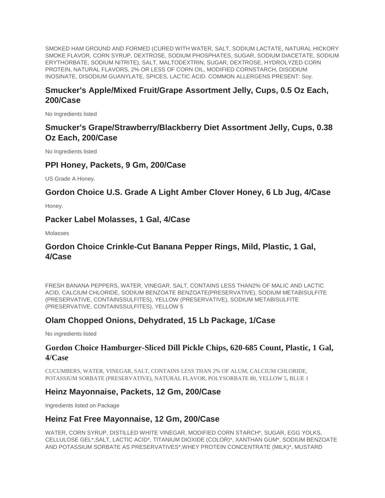SMOKED HAM GROUND AND FORMED (CURED WITH WATER, SALT, SODIUM LACTATE, NATURAL HICKORY SMOKE FLAVOR, CORN SYRUP, DEXTROSE, SODIUM PHOSPHATES, SUGAR, SODIUM DIACETATE, SODIUM ERYTHORBATE, SODIUM NITRITE), SALT, MALTODEXTRIN, SUGAR, DEXTROSE, HYDROLYZED CORN PROTEIN, NATURAL FLAVORS, 2% OR LESS OF CORN OIL, MODIFIED CORNSTARCH, DISODIUM INOSINATE, DISODIUM GUANYLATE, SPICES, LACTIC ACID. COMMON ALLERGENS PRESENT: Soy.

# **Smucker's Apple/Mixed Fruit/Grape Assortment Jelly, Cups, 0.5 Oz Each, 200/Case**

No Ingredients listed

# **Smucker's Grape/Strawberry/Blackberry Diet Assortment Jelly, Cups, 0.38 Oz Each, 200/Case**

No Ingredients listed

## **PPI Honey, Packets, 9 Gm, 200/Case**

US Grade A Honey.

### **Gordon Choice U.S. Grade A Light Amber Clover Honey, 6 Lb Jug, 4/Case**

Honey.

### **Packer Label Molasses, 1 Gal, 4/Case**

Molasses

### **Gordon Choice Crinkle-Cut Banana Pepper Rings, Mild, Plastic, 1 Gal, 4/Case**

FRESH BANANA PEPPERS, WATER, VINEGAR, SALT, CONTAINS LESS THAN2% OF MALIC AND LACTIC ACID, CALCIUM CHLORIDE, SODIUM BENZOATE BENZOATE(PRESERVATIVE), SODIUM METABISULFITE (PRESERVATIVE, CONTAINSSULFITES), YELLOW (PRESERVATIVE), SODIUM METABISULFITE (PRESERVATIVE, CONTAINSSULFITES), YELLOW 5

### **Olam Chopped Onions, Dehydrated, 15 Lb Package, 1/Case**

No ingredients listed

### **Gordon Choice Hamburger-Sliced Dill Pickle Chips, 620-685 Count, Plastic, 1 Gal, 4/Case**

CUCUMBERS, WATER, VINEGAR, SALT, CONTAINS LESS THAN 2% OF ALUM, CALCIUM CHLORIDE, POTASSIUM SORBATE (PRESERVATIVE), NATURAL FLAVOR, POLYSORBATE 80, YELLOW 5, BLUE 1

### **Heinz Mayonnaise, Packets, 12 Gm, 200/Case**

Ingredients listed on Package

### **Heinz Fat Free Mayonnaise, 12 Gm, 200/Case**

WATER, CORN SYRUP, DISTILLED WHITE VINEGAR, MODIFIED CORN STARCH\*, SUGAR, EGG YOLKS, CELLULOSE GEL\*,SALT, LACTIC ACID\*, TITANIUM DIOXIDE (COLOR)\*, XANTHAN GUM\*, SODIUM BENZOATE AND POTASSIUM SORBATE AS PRESERVATIVES\*,WHEY PROTEIN CONCENTRATE (MILK)\*, MUSTARD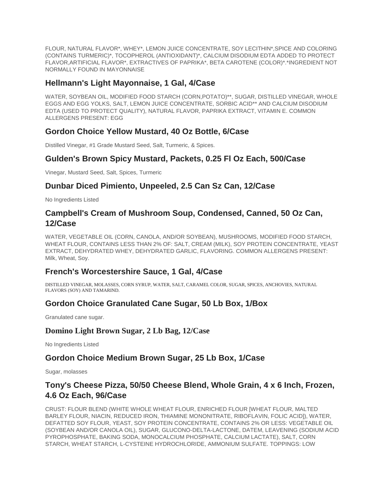FLOUR, NATURAL FLAVOR\*, WHEY\*, LEMON JUICE CONCENTRATE, SOY LECITHIN\*,SPICE AND COLORING (CONTAINS TURMERIC)\*, TOCOPHEROL (ANTIOXIDANT)\*, CALCIUM DISODIUM EDTA ADDED TO PROTECT FLAVOR,ARTIFICIAL FLAVOR\*, EXTRACTIVES OF PAPRIKA\*, BETA CAROTENE (COLOR)\*.\*INGREDIENT NOT NORMALLY FOUND IN MAYONNAISE

### **Hellmann's Light Mayonnaise, 1 Gal, 4/Case**

WATER, SOYBEAN OIL, MODIFIED FOOD STARCH (CORN,POTATO)\*\*, SUGAR, DISTILLED VINEGAR, WHOLE EGGS AND EGG YOLKS, SALT, LEMON JUICE CONCENTRATE, SORBIC ACID\*\* AND CALCIUM DISODIUM EDTA (USED TO PROTECT QUALITY), NATURAL FLAVOR, PAPRIKA EXTRACT, VITAMIN E. COMMON ALLERGENS PRESENT: EGG

### **Gordon Choice Yellow Mustard, 40 Oz Bottle, 6/Case**

Distilled Vinegar, #1 Grade Mustard Seed, Salt, Turmeric, & Spices.

### **Gulden's Brown Spicy Mustard, Packets, 0.25 Fl Oz Each, 500/Case**

Vinegar, Mustard Seed, Salt, Spices, Turmeric

### **Dunbar Diced Pimiento, Unpeeled, 2.5 Can Sz Can, 12/Case**

No Ingredients Listed

### **Campbell's Cream of Mushroom Soup, Condensed, Canned, 50 Oz Can, 12/Case**

WATER, VEGETABLE OIL (CORN, CANOLA, AND/OR SOYBEAN), MUSHROOMS, MODIFIED FOOD STARCH, WHEAT FLOUR, CONTAINS LESS THAN 2% OF: SALT, CREAM (MILK), SOY PROTEIN CONCENTRATE, YEAST EXTRACT, DEHYDRATED WHEY, DEHYDRATED GARLIC, FLAVORING. COMMON ALLERGENS PRESENT: Milk, Wheat, Soy.

### **French's Worcestershire Sauce, 1 Gal, 4/Case**

DISTILLED VINEGAR, MOLASSES, CORN SYRUP, WATER, SALT, CARAMEL COLOR, SUGAR, SPICES, ANCHOVIES, NATURAL FLAVORS (SOY) AND TAMARIND.

### **Gordon Choice Granulated Cane Sugar, 50 Lb Box, 1/Box**

Granulated cane sugar.

### **Domino Light Brown Sugar, 2 Lb Bag, 12/Case**

No Ingredients Listed

### **Gordon Choice Medium Brown Sugar, 25 Lb Box, 1/Case**

Sugar, molasses

### **Tony's Cheese Pizza, 50/50 Cheese Blend, Whole Grain, 4 x 6 Inch, Frozen, 4.6 Oz Each, 96/Case**

CRUST: FLOUR BLEND (WHITE WHOLE WHEAT FLOUR, ENRICHED FLOUR [WHEAT FLOUR, MALTED BARLEY FLOUR, NIACIN, REDUCED IRON, THIAMINE MONONITRATE, RIBOFLAVIN, FOLIC ACID]), WATER, DEFATTED SOY FLOUR, YEAST, SOY PROTEIN CONCENTRATE, CONTAINS 2% OR LESS: VEGETABLE OIL (SOYBEAN AND/OR CANOLA OIL), SUGAR, GLUCONO-DELTA-LACTONE, DATEM, LEAVENING (SODIUM ACID PYROPHOSPHATE, BAKING SODA, MONOCALCIUM PHOSPHATE, CALCIUM LACTATE), SALT, CORN STARCH, WHEAT STARCH, L-CYSTEINE HYDROCHLORIDE, AMMONIUM SULFATE. TOPPINGS: LOW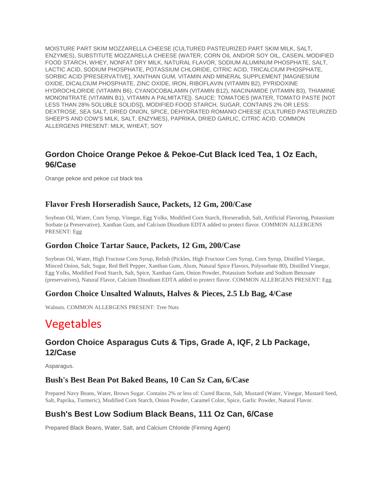MOISTURE PART SKIM MOZZARELLA CHEESE (CULTURED PASTEURIZED PART SKIM MILK, SALT, ENZYMES), SUBSTITUTE MOZZARELLA CHEESE (WATER, CORN OIL AND/OR SOY OIL, CASEIN, MODIFIED FOOD STARCH, WHEY, NONFAT DRY MILK, NATURAL FLAVOR, SODIUM ALUMINUM PHOSPHATE, SALT, LACTIC ACID, SODIUM PHOSPHATE, POTASSIUM CHLORIDE, CITRIC ACID, TRICALCIUM PHOSPHATE, SORBIC ACID [PRESERVATIVE], XANTHAN GUM, VITAMIN AND MINERAL SUPPLEMENT [MAGNESIUM OXIDE, DICALCIUM PHOSPHATE, ZINC OXIDE, IRON, RIBOFLAVIN (VITAMIN B2), PYRIDOXINE HYDROCHLORIDE (VITAMIN B6), CYANOCOBALAMIN (VITAMIN B12), NIACINAMIDE (VITAMIN B3), THIAMINE MONONITRATE (VITAMIN B1), VITAMIN A PALMITATE]). SAUCE: TOMATOES (WATER, TOMATO PASTE [NOT LESS THAN 28% SOLUBLE SOLIDS]), MODIFIED FOOD STARCH, SUGAR, CONTAINS 2% OR LESS: DEXTROSE, SEA SALT, DRIED ONION, SPICE, DEHYDRATED ROMANO CHEESE (CULTURED PASTEURIZED SHEEP'S AND COW'S MILK, SALT, ENZYMES), PAPRIKA, DRIED GARLIC, CITRIC ACID. COMMON ALLERGENS PRESENT: MILK, WHEAT, SOY

## **Gordon Choice Orange Pekoe & Pekoe-Cut Black Iced Tea, 1 Oz Each, 96/Case**

Orange pekoe and pekoe cut black tea

### **Flavor Fresh Horseradish Sauce, Packets, 12 Gm, 200/Case**

Soybean Oil, Water, Corn Syrup, Vinegar, Egg Yolks, Modified Corn Starch, Horseradish, Salt, Artificial Flavoring, Potassium Sorbate (a Preservative), Xanthan Gum, and Calcium Disodium EDTA added to protect flavor. COMMON ALLERGENS PRESENT: Egg

#### **Gordon Choice Tartar Sauce, Packets, 12 Gm, 200/Case**

Soybean Oil, Water, High Fructose Corn Syrup, Relish (Pickles, High Fructose Corn Syrup, Corn Syrup, Distilled Vinegar, Minced Onion, Salt, Sugar, Red Bell Pepper, Xanthan Gum, Alum, Natural Spice Flavors, Polysorbate 80), Distilled Vinegar, Egg Yolks, Modified Food Starch, Salt, Spice, Xanthan Gum, Onion Powder, Potassium Sorbate and Sodium Benzoate (preservatives), Natural Flavor, Calcium Disodium EDTA added to protect flavor. COMMON ALLERGENS PRESENT: Egg.

### **Gordon Choice Unsalted Walnuts, Halves & Pieces, 2.5 Lb Bag, 4/Case**

Walnuts. COMMON ALLERGENS PRESENT: Tree Nuts

# Vegetables

## **Gordon Choice Asparagus Cuts & Tips, Grade A, IQF, 2 Lb Package, 12/Case**

Asparagus.

### **Bush's Best Bean Pot Baked Beans, 10 Can Sz Can, 6/Case**

Prepared Navy Beans, Water, Brown Sugar. Contains 2% or less of: Cured Bacon, Salt, Mustard (Water, Vinegar, Mustard Seed, Salt, Paprika, Turmeric), Modified Corn Starch, Onion Powder, Caramel Color, Spice, Garlic Powder, Natural Flavor.

## **Bush's Best Low Sodium Black Beans, 111 Oz Can, 6/Case**

Prepared Black Beans, Water, Salt, and Calcium Chloride (Firming Agent)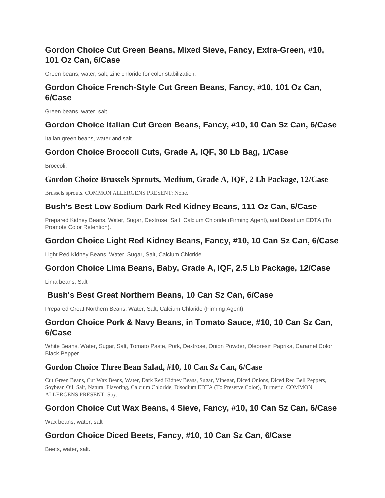# **Gordon Choice Cut Green Beans, Mixed Sieve, Fancy, Extra-Green, #10, 101 Oz Can, 6/Case**

Green beans, water, salt, zinc chloride for color stabilization.

# **Gordon Choice French-Style Cut Green Beans, Fancy, #10, 101 Oz Can, 6/Case**

Green beans, water, salt.

#### **Gordon Choice Italian Cut Green Beans, Fancy, #10, 10 Can Sz Can, 6/Case**

Italian green beans, water and salt.

### **Gordon Choice Broccoli Cuts, Grade A, IQF, 30 Lb Bag, 1/Case**

Broccoli.

### **Gordon Choice Brussels Sprouts, Medium, Grade A, IQF, 2 Lb Package, 12/Case**

Brussels sprouts. COMMON ALLERGENS PRESENT: None.

### **Bush's Best Low Sodium Dark Red Kidney Beans, 111 Oz Can, 6/Case**

Prepared Kidney Beans, Water, Sugar, Dextrose, Salt, Calcium Chloride (Firming Agent), and Disodium EDTA (To Promote Color Retention).

### **Gordon Choice Light Red Kidney Beans, Fancy, #10, 10 Can Sz Can, 6/Case**

Light Red Kidney Beans, Water, Sugar, Salt, Calcium Chloride

### **Gordon Choice Lima Beans, Baby, Grade A, IQF, 2.5 Lb Package, 12/Case**

Lima beans, Salt

### **Bush's Best Great Northern Beans, 10 Can Sz Can, 6/Case**

Prepared Great Northern Beans, Water, Salt, Calcium Chloride (Firming Agent)

### **Gordon Choice Pork & Navy Beans, in Tomato Sauce, #10, 10 Can Sz Can, 6/Case**

White Beans, Water, Sugar, Salt, Tomato Paste, Pork, Dextrose, Onion Powder, Oleoresin Paprika, Caramel Color, Black Pepper.

### **Gordon Choice Three Bean Salad, #10, 10 Can Sz Can, 6/Case**

Cut Green Beans, Cut Wax Beans, Water, Dark Red Kidney Beans, Sugar, Vinegar, Diced Onions, Diced Red Bell Peppers, Soybean Oil, Salt, Natural Flavoring, Calcium Chloride, Disodium EDTA (To Preserve Color), Turmeric. COMMON ALLERGENS PRESENT: Soy.

### **Gordon Choice Cut Wax Beans, 4 Sieve, Fancy, #10, 10 Can Sz Can, 6/Case**

Wax beans, water, salt

### **Gordon Choice Diced Beets, Fancy, #10, 10 Can Sz Can, 6/Case**

Beets, water, salt.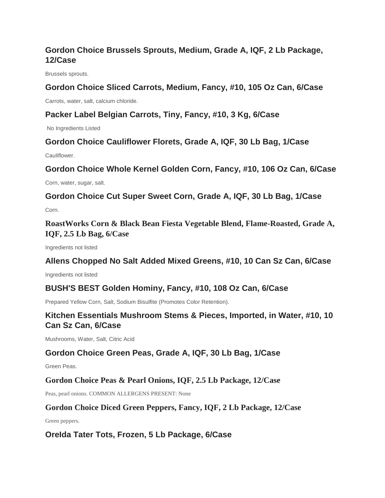# **Gordon Choice Brussels Sprouts, Medium, Grade A, IQF, 2 Lb Package, 12/Case**

Brussels sprouts.

### **Gordon Choice Sliced Carrots, Medium, Fancy, #10, 105 Oz Can, 6/Case**

Carrots, water, salt, calcium chloride.

### **Packer Label Belgian Carrots, Tiny, Fancy, #10, 3 Kg, 6/Case**

No Ingredients Listed

### **Gordon Choice Cauliflower Florets, Grade A, IQF, 30 Lb Bag, 1/Case**

Cauliflower.

### **Gordon Choice Whole Kernel Golden Corn, Fancy, #10, 106 Oz Can, 6/Case**

Corn, water, sugar, salt.

**Gordon Choice Cut Super Sweet Corn, Grade A, IQF, 30 Lb Bag, 1/Case**

Corn.

**RoastWorks Corn & Black Bean Fiesta Vegetable Blend, Flame-Roasted, Grade A, IQF, 2.5 Lb Bag, 6/Case**

Ingredients not listed

### **Allens Chopped No Salt Added Mixed Greens, #10, 10 Can Sz Can, 6/Case**

Ingredients not listed

### **BUSH'S BEST Golden Hominy, Fancy, #10, 108 Oz Can, 6/Case**

Prepared Yellow Corn, Salt, Sodium Bisulfite (Promotes Color Retention).

## **Kitchen Essentials Mushroom Stems & Pieces, Imported, in Water, #10, 10 Can Sz Can, 6/Case**

Mushrooms, Water, Salt, Citric Acid

### **Gordon Choice Green Peas, Grade A, IQF, 30 Lb Bag, 1/Case**

Green Peas.

### **Gordon Choice Peas & Pearl Onions, IQF, 2.5 Lb Package, 12/Case**

Peas, pearl onions. COMMON ALLERGENS PRESENT: None

### **Gordon Choice Diced Green Peppers, Fancy, IQF, 2 Lb Package, 12/Case**

Green peppers.

### **OreIda Tater Tots, Frozen, 5 Lb Package, 6/Case**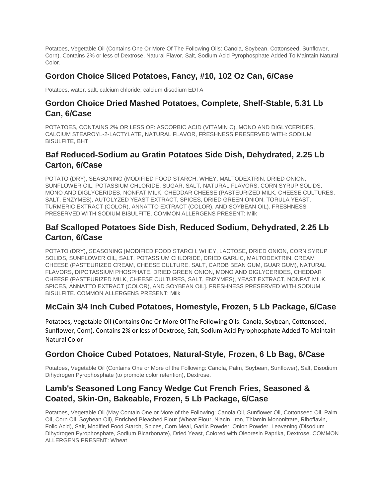Potatoes, Vegetable Oil (Contains One Or More Of The Following Oils: Canola, Soybean, Cottonseed, Sunflower, Corn). Contains 2% or less of Dextrose, Natural Flavor, Salt, Sodium Acid Pyrophosphate Added To Maintain Natural Color.

## **Gordon Choice Sliced Potatoes, Fancy, #10, 102 Oz Can, 6/Case**

Potatoes, water, salt, calcium chloride, calcium disodium EDTA

# **Gordon Choice Dried Mashed Potatoes, Complete, Shelf-Stable, 5.31 Lb Can, 6/Case**

POTATOES, CONTAINS 2% OR LESS OF: ASCORBIC ACID (VITAMIN C), MONO AND DIGLYCERIDES, CALCIUM STEAROYL-2-LACTYLATE, NATURAL FLAVOR, FRESHNESS PRESERVED WITH: SODIUM BISULFITE, BHT

# **Baf Reduced-Sodium au Gratin Potatoes Side Dish, Dehydrated, 2.25 Lb Carton, 6/Case**

POTATO (DRY), SEASONING (MODIFIED FOOD STARCH, WHEY, MALTODEXTRIN, DRIED ONION, SUNFLOWER OIL, POTASSIUM CHLORIDE, SUGAR, SALT, NATURAL FLAVORS, CORN SYRUP SOLIDS, MONO AND DIGLYCERIDES, NONFAT MILK, CHEDDAR CHEESE (PASTEURIZED MILK, CHEESE CULTURES, SALT, ENZYMES), AUTOLYZED YEAST EXTRACT, SPICES, DRIED GREEN ONION, TORULA YEAST, TURMERIC EXTRACT (COLOR), ANNATTO EXTRACT (COLOR), AND SOYBEAN OIL). FRESHNESS PRESERVED WITH SODIUM BISULFITE. COMMON ALLERGENS PRESENT: Milk

## **Baf Scalloped Potatoes Side Dish, Reduced Sodium, Dehydrated, 2.25 Lb Carton, 6/Case**

POTATO (DRY), SEASONING [MODIFIED FOOD STARCH, WHEY, LACTOSE, DRIED ONION, CORN SYRUP SOLIDS, SUNFLOWER OIL, SALT, POTASSIUM CHLORIDE, DRIED GARLIC, MALTODEXTRIN, CREAM CHEESE (PASTEURIZED CREAM, CHEESE CULTURE, SALT, CAROB BEAN GUM, GUAR GUM), NATURAL FLAVORS, DIPOTASSIUM PHOSPHATE, DRIED GREEN ONION, MONO AND DIGLYCERIDES, CHEDDAR CHEESE (PASTEURIZED MILK, CHEESE CULTURES, SALT, ENZYMES), YEAST EXTRACT, NONFAT MILK, SPICES, ANNATTO EXTRACT (COLOR), AND SOYBEAN OIL]. FRESHNESS PRESERVED WITH SODIUM BISULFITE. COMMON ALLERGENS PRESENT: Milk

## **McCain 3/4 Inch Cubed Potatoes, Homestyle, Frozen, 5 Lb Package, 6/Case**

Potatoes, Vegetable Oil (Contains One Or More Of The Following Oils: Canola, Soybean, Cottonseed, Sunflower, Corn). Contains 2% or less of Dextrose, Salt, Sodium Acid Pyrophosphate Added To Maintain Natural Color

### **Gordon Choice Cubed Potatoes, Natural-Style, Frozen, 6 Lb Bag, 6/Case**

Potatoes, Vegetable Oil (Contains One or More of the Following: Canola, Palm, Soybean, Sunflower), Salt, Disodium Dihydrogen Pyrophosphate (to promote color retention), Dextrose.

## **Lamb's Seasoned Long Fancy Wedge Cut French Fries, Seasoned & Coated, Skin-On, Bakeable, Frozen, 5 Lb Package, 6/Case**

Potatoes, Vegetable Oil (May Contain One or More of the Following: Canola Oil, Sunflower Oil, Cottonseed Oil, Palm Oil, Corn Oil, Soybean Oil), Enriched Bleached Flour (Wheat Flour, Niacin, Iron, Thiamin Mononitrate, Riboflavin, Folic Acid), Salt, Modified Food Starch, Spices, Corn Meal, Garlic Powder, Onion Powder, Leavening (Disodium Dihydrogen Pyrophosphate, Sodium Bicarbonate), Dried Yeast, Colored with Oleoresin Paprika, Dextrose. COMMON ALLERGENS PRESENT: Wheat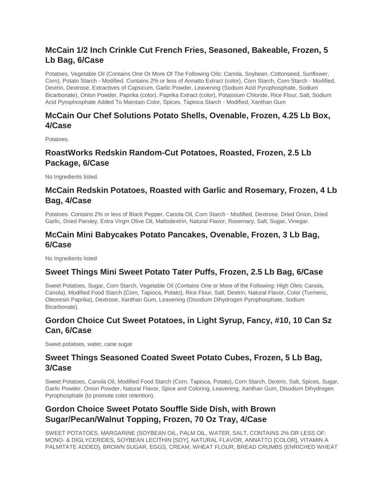# **McCain 1/2 Inch Crinkle Cut French Fries, Seasoned, Bakeable, Frozen, 5 Lb Bag, 6/Case**

Potatoes, Vegetable Oil (Contains One Or More Of The Following Oils: Canola, Soybean, Cottonseed, Sunflower, Corn), Potato Starch - Modified. Contains 2% or less of Annatto Extract (color), Corn Starch, Corn Starch - Modified, Dextrin, Dextrose, Extractives of Capsicum, Garlic Powder, Leavening (Sodium Acid Pyrophosphate, Sodium Bicarbonate), Onion Powder, Paprika (color), Paprika Extract (color), Potassium Chloride, Rice Flour, Salt, Sodium Acid Pyrophosphate Added To Maintain Color, Spices, Tapioca Starch - Modified, Xanthan Gum

## **McCain Our Chef Solutions Potato Shells, Ovenable, Frozen, 4.25 Lb Box, 4/Case**

Potatoes.

# **RoastWorks Redskin Random-Cut Potatoes, Roasted, Frozen, 2.5 Lb Package, 6/Case**

No Ingredients listed.

# **McCain Redskin Potatoes, Roasted with Garlic and Rosemary, Frozen, 4 Lb Bag, 4/Case**

Potatoes. Contains 2% or less of Black Pepper, Canola Oil, Corn Starch - Modified, Dextrose, Dried Onion, Dried Garlic, Dried Parsley, Extra Virgin Olive Oil, Maltodextrin, Natural Flavor, Rosemary, Salt, Sugar, Vinegar.

## **McCain Mini Babycakes Potato Pancakes, Ovenable, Frozen, 3 Lb Bag, 6/Case**

No Ingredients listed

## **Sweet Things Mini Sweet Potato Tater Puffs, Frozen, 2.5 Lb Bag, 6/Case**

Sweet Potatoes, Sugar, Corn Starch, Vegetable Oil (Contains One or More of the Following: High Oleic Canola, Canola), Modified Food Starch (Corn, Tapioca, Potato), Rice Flour, Salt, Dextrin, Natural Flavor, Color (Turmeric, Oleoresin Paprika), Dextrose, Xanthan Gum, Leavening (Disodium Dihydrogen Pyrophosphate, Sodium Bicarbonate).

# **Gordon Choice Cut Sweet Potatoes, in Light Syrup, Fancy, #10, 10 Can Sz Can, 6/Case**

Sweet potatoes, water, cane sugar

## **Sweet Things Seasoned Coated Sweet Potato Cubes, Frozen, 5 Lb Bag, 3/Case**

Sweet Potatoes, Canola Oil, Modified Food Starch (Corn, Tapioca, Potato), Corn Starch, Dextrin, Salt, Spices, Sugar, Garlic Powder, Onion Powder, Natural Flavor, Spice and Coloring, Leavening, Xanthan Gum, Disodium Dihydrogen Pyrophosphate (to promote color retention).

## **Gordon Choice Sweet Potato Souffle Side Dish, with Brown Sugar/Pecan/Walnut Topping, Frozen, 70 Oz Tray, 4/Case**

SWEET POTATOES, MARGARINE (SOYBEAN OIL, PALM OIL, WATER, SALT, CONTAINS 2% OR LESS OF: MONO- & DIGLYCERIDES, SOYBEAN LECITHIN [SOY], NATURAL FLAVOR, ANNATTO [COLOR], VITAMIN A PALMITATE ADDED), BROWN SUGAR, EGGS, CREAM, WHEAT FLOUR, BREAD CRUMBS (ENRICHED WHEAT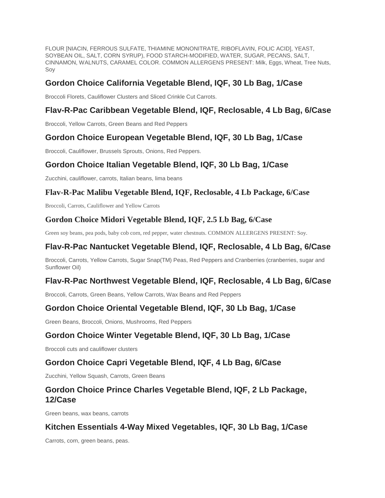FLOUR [NIACIN, FERROUS SULFATE, THIAMINE MONONITRATE, RIBOFLAVIN, FOLIC ACID], YEAST, SOYBEAN OIL, SALT, CORN SYRUP), FOOD STARCH-MODIFIED, WATER, SUGAR, PECANS, SALT, CINNAMON, WALNUTS, CARAMEL COLOR. COMMON ALLERGENS PRESENT: Milk, Eggs, Wheat, Tree Nuts, Soy

## **Gordon Choice California Vegetable Blend, IQF, 30 Lb Bag, 1/Case**

Broccoli Florets, Cauliflower Clusters and Sliced Crinkle Cut Carrots.

## **Flav-R-Pac Caribbean Vegetable Blend, IQF, Reclosable, 4 Lb Bag, 6/Case**

Broccoli, Yellow Carrots, Green Beans and Red Peppers

## **Gordon Choice European Vegetable Blend, IQF, 30 Lb Bag, 1/Case**

Broccoli, Cauliflower, Brussels Sprouts, Onions, Red Peppers.

## **Gordon Choice Italian Vegetable Blend, IQF, 30 Lb Bag, 1/Case**

Zucchini, cauliflower, carrots, Italian beans, lima beans

### **Flav-R-Pac Malibu Vegetable Blend, IQF, Reclosable, 4 Lb Package, 6/Case**

Broccoli, Carrots, Cauliflower and Yellow Carrots

### **Gordon Choice Midori Vegetable Blend, IQF, 2.5 Lb Bag, 6/Case**

Green soy beans, pea pods, baby cob corn, red pepper, water chestnuts. COMMON ALLERGENS PRESENT: Soy.

# **Flav-R-Pac Nantucket Vegetable Blend, IQF, Reclosable, 4 Lb Bag, 6/Case**

Broccoli, Carrots, Yellow Carrots, Sugar Snap(TM) Peas, Red Peppers and Cranberries (cranberries, sugar and Sunflower Oil)

### **Flav-R-Pac Northwest Vegetable Blend, IQF, Reclosable, 4 Lb Bag, 6/Case**

Broccoli, Carrots, Green Beans, Yellow Carrots, Wax Beans and Red Peppers

### **Gordon Choice Oriental Vegetable Blend, IQF, 30 Lb Bag, 1/Case**

Green Beans, Broccoli, Onions, Mushrooms, Red Peppers

### **Gordon Choice Winter Vegetable Blend, IQF, 30 Lb Bag, 1/Case**

Broccoli cuts and cauliflower clusters

### **Gordon Choice Capri Vegetable Blend, IQF, 4 Lb Bag, 6/Case**

Zucchini, Yellow Squash, Carrots, Green Beans

## **Gordon Choice Prince Charles Vegetable Blend, IQF, 2 Lb Package, 12/Case**

Green beans, wax beans, carrots

### **Kitchen Essentials 4-Way Mixed Vegetables, IQF, 30 Lb Bag, 1/Case**

Carrots, corn, green beans, peas.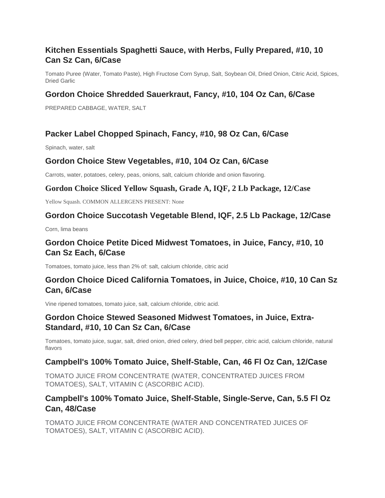# **Kitchen Essentials Spaghetti Sauce, with Herbs, Fully Prepared, #10, 10 Can Sz Can, 6/Case**

Tomato Puree (Water, Tomato Paste), High Fructose Corn Syrup, Salt, Soybean Oil, Dried Onion, Citric Acid, Spices, Dried Garlic

## **Gordon Choice Shredded Sauerkraut, Fancy, #10, 104 Oz Can, 6/Case**

PREPARED CABBAGE, WATER, SALT

# **Packer Label Chopped Spinach, Fancy, #10, 98 Oz Can, 6/Case**

Spinach, water, salt

## **Gordon Choice Stew Vegetables, #10, 104 Oz Can, 6/Case**

Carrots, water, potatoes, celery, peas, onions, salt, calcium chloride and onion flavoring.

### **Gordon Choice Sliced Yellow Squash, Grade A, IQF, 2 Lb Package, 12/Case**

Yellow Squash. COMMON ALLERGENS PRESENT: None

## **Gordon Choice Succotash Vegetable Blend, IQF, 2.5 Lb Package, 12/Case**

Corn, lima beans

# **Gordon Choice Petite Diced Midwest Tomatoes, in Juice, Fancy, #10, 10 Can Sz Each, 6/Case**

Tomatoes, tomato juice, less than 2% of: salt, calcium chloride, citric acid

## **Gordon Choice Diced California Tomatoes, in Juice, Choice, #10, 10 Can Sz Can, 6/Case**

Vine ripened tomatoes, tomato juice, salt, calcium chloride, citric acid.

## **Gordon Choice Stewed Seasoned Midwest Tomatoes, in Juice, Extra-Standard, #10, 10 Can Sz Can, 6/Case**

Tomatoes, tomato juice, sugar, salt, dried onion, dried celery, dried bell pepper, citric acid, calcium chloride, natural flavors

### **Campbell's 100% Tomato Juice, Shelf-Stable, Can, 46 Fl Oz Can, 12/Case**

TOMATO JUICE FROM CONCENTRATE (WATER, CONCENTRATED JUICES FROM TOMATOES), SALT, VITAMIN C (ASCORBIC ACID).

## **Campbell's 100% Tomato Juice, Shelf-Stable, Single-Serve, Can, 5.5 Fl Oz Can, 48/Case**

TOMATO JUICE FROM CONCENTRATE (WATER AND CONCENTRATED JUICES OF TOMATOES), SALT, VITAMIN C (ASCORBIC ACID).